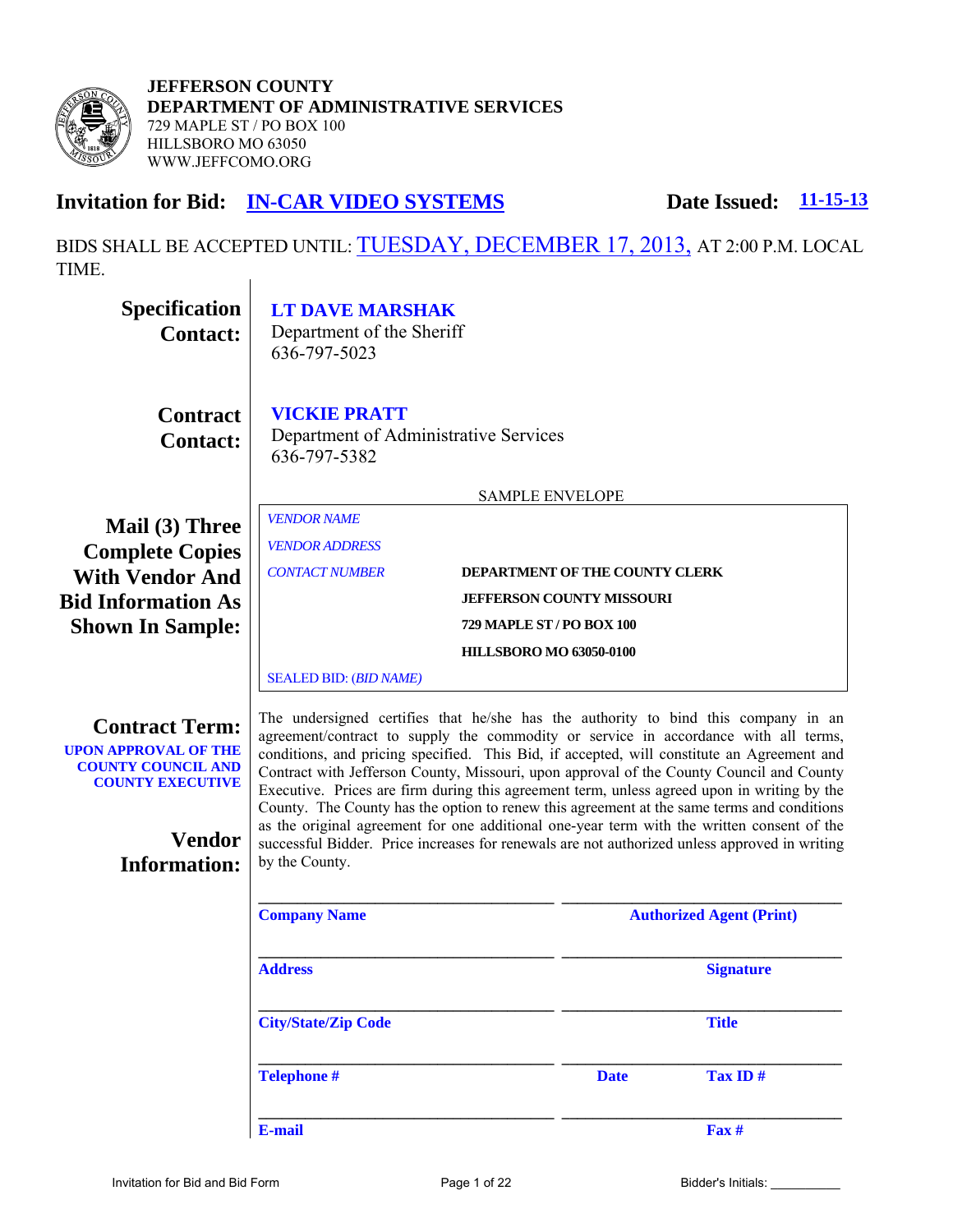

**JEFFERSON COUNTY DEPARTMENT OF ADMINISTRATIVE SERVICES**  729 MAPLE ST / PO BOX 100 HILLSBORO MO 63050 WWW.JEFFCOMO.ORG

# **Invitation for Bid: IN-CAR VIDEO SYSTEMS** Date Issued:  $11-15-13$

BIDS SHALL BE ACCEPTED UNTIL: TUESDAY, DECEMBER 17, 2013, AT 2:00 P.M. LOCAL TIME. $\overline{1}$ 

| <b>Specification</b><br><b>Contact:</b>                                                                      | <b>LT DAVE MARSHAK</b><br>Department of the Sheriff<br>636-797-5023                                                                                                                                                                                                                                                                                                                                                                                                                                                                                              |                                  |             |                                                                                            |
|--------------------------------------------------------------------------------------------------------------|------------------------------------------------------------------------------------------------------------------------------------------------------------------------------------------------------------------------------------------------------------------------------------------------------------------------------------------------------------------------------------------------------------------------------------------------------------------------------------------------------------------------------------------------------------------|----------------------------------|-------------|--------------------------------------------------------------------------------------------|
| <b>Contract</b><br><b>Contact:</b>                                                                           | <b>VICKIE PRATT</b><br>Department of Administrative Services<br>636-797-5382                                                                                                                                                                                                                                                                                                                                                                                                                                                                                     |                                  |             |                                                                                            |
|                                                                                                              |                                                                                                                                                                                                                                                                                                                                                                                                                                                                                                                                                                  | <b>SAMPLE ENVELOPE</b>           |             |                                                                                            |
| Mail (3) Three<br><b>Complete Copies</b>                                                                     | <b>VENDOR NAME</b><br><b>VENDOR ADDRESS</b>                                                                                                                                                                                                                                                                                                                                                                                                                                                                                                                      |                                  |             |                                                                                            |
| <b>With Vendor And</b>                                                                                       | <b>CONTACT NUMBER</b>                                                                                                                                                                                                                                                                                                                                                                                                                                                                                                                                            | DEPARTMENT OF THE COUNTY CLERK   |             |                                                                                            |
| <b>Bid Information As</b>                                                                                    |                                                                                                                                                                                                                                                                                                                                                                                                                                                                                                                                                                  | <b>JEFFERSON COUNTY MISSOURI</b> |             |                                                                                            |
| <b>Shown In Sample:</b>                                                                                      |                                                                                                                                                                                                                                                                                                                                                                                                                                                                                                                                                                  | 729 MAPLE ST / PO BOX 100        |             |                                                                                            |
|                                                                                                              |                                                                                                                                                                                                                                                                                                                                                                                                                                                                                                                                                                  | <b>HILLSBORO MO 63050-0100</b>   |             |                                                                                            |
|                                                                                                              | <b>SEALED BID: (BID NAME)</b>                                                                                                                                                                                                                                                                                                                                                                                                                                                                                                                                    |                                  |             |                                                                                            |
| <b>Contract Term:</b><br><b>UPON APPROVAL OF THE</b><br><b>COUNTY COUNCIL AND</b><br><b>COUNTY EXECUTIVE</b> | The undersigned certifies that he/she has the authority to bind this company in an<br>agreement/contract to supply the commodity or service in accordance with all terms,<br>conditions, and pricing specified. This Bid, if accepted, will constitute an Agreement and<br>Contract with Jefferson County, Missouri, upon approval of the County Council and County<br>Executive. Prices are firm during this agreement term, unless agreed upon in writing by the<br>County. The County has the option to renew this agreement at the same terms and conditions |                                  |             | as the original agreement for one additional one-year term with the written consent of the |
| <b>Vendor</b>                                                                                                | successful Bidder. Price increases for renewals are not authorized unless approved in writing                                                                                                                                                                                                                                                                                                                                                                                                                                                                    |                                  |             |                                                                                            |
| <b>Information:</b>                                                                                          | by the County.                                                                                                                                                                                                                                                                                                                                                                                                                                                                                                                                                   |                                  |             |                                                                                            |
|                                                                                                              | <b>Company Name</b>                                                                                                                                                                                                                                                                                                                                                                                                                                                                                                                                              |                                  |             | <b>Authorized Agent (Print)</b>                                                            |
|                                                                                                              | <b>Address</b>                                                                                                                                                                                                                                                                                                                                                                                                                                                                                                                                                   |                                  |             | <b>Signature</b>                                                                           |
|                                                                                                              | <b>City/State/Zip Code</b>                                                                                                                                                                                                                                                                                                                                                                                                                                                                                                                                       |                                  |             | <b>Title</b>                                                                               |
|                                                                                                              | <b>Telephone#</b>                                                                                                                                                                                                                                                                                                                                                                                                                                                                                                                                                |                                  | <b>Date</b> | Tax ID#                                                                                    |
|                                                                                                              | E-mail                                                                                                                                                                                                                                                                                                                                                                                                                                                                                                                                                           |                                  |             | Fax #                                                                                      |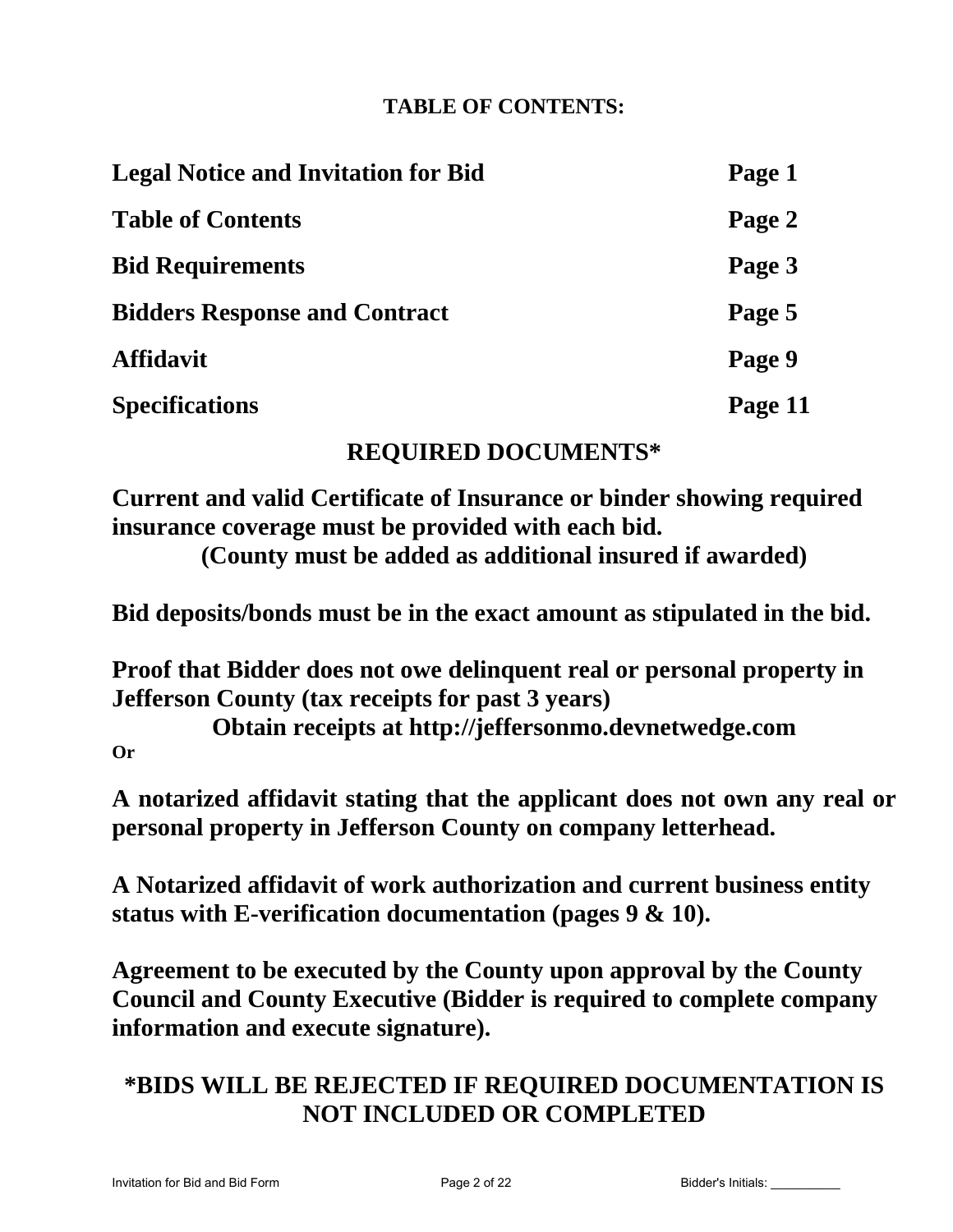# **TABLE OF CONTENTS:**

| <b>Legal Notice and Invitation for Bid</b> | Page 1  |
|--------------------------------------------|---------|
| <b>Table of Contents</b>                   | Page 2  |
| <b>Bid Requirements</b>                    | Page 3  |
| <b>Bidders Response and Contract</b>       | Page 5  |
| <b>Affidavit</b>                           | Page 9  |
| <b>Specifications</b>                      | Page 11 |

# **REQUIRED DOCUMENTS\***

**Current and valid Certificate of Insurance or binder showing required insurance coverage must be provided with each bid.** 

**(County must be added as additional insured if awarded)** 

**Bid deposits/bonds must be in the exact amount as stipulated in the bid.** 

**Proof that Bidder does not owe delinquent real or personal property in Jefferson County (tax receipts for past 3 years)** 

**Obtain receipts at http://jeffersonmo.devnetwedge.com Or** 

**A notarized affidavit stating that the applicant does not own any real or personal property in Jefferson County on company letterhead.** 

**A Notarized affidavit of work authorization and current business entity status with E-verification documentation (pages 9 & 10).** 

**Agreement to be executed by the County upon approval by the County Council and County Executive (Bidder is required to complete company information and execute signature).** 

# **\*BIDS WILL BE REJECTED IF REQUIRED DOCUMENTATION IS NOT INCLUDED OR COMPLETED**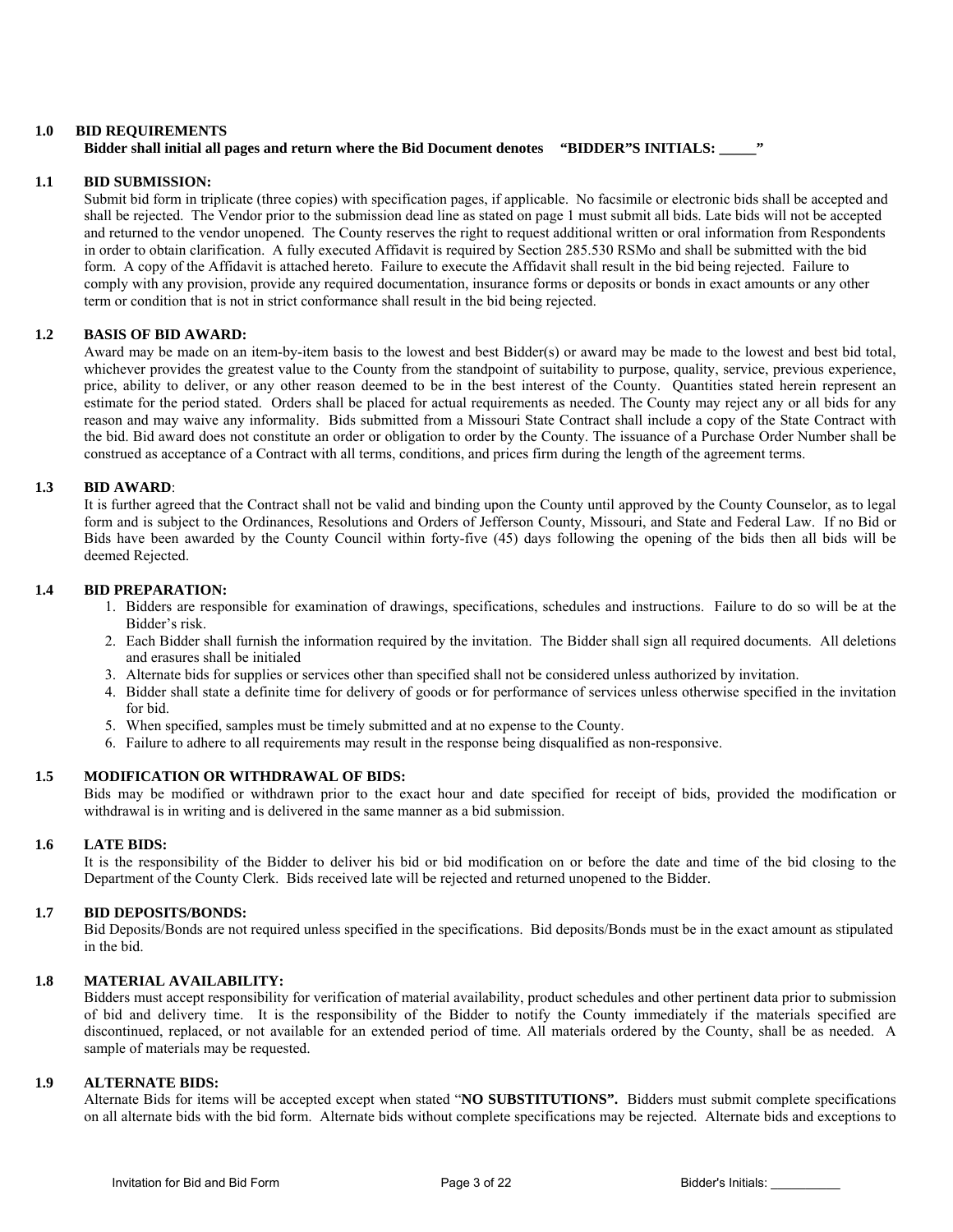#### **1.0 BID REQUIREMENTS**

### **Bidder shall initial all pages and return where the Bid Document denotes "BIDDER"S INITIALS:** "

#### **1.1 BID SUBMISSION:**

 Submit bid form in triplicate (three copies) with specification pages, if applicable. No facsimile or electronic bids shall be accepted and shall be rejected. The Vendor prior to the submission dead line as stated on page 1 must submit all bids. Late bids will not be accepted and returned to the vendor unopened. The County reserves the right to request additional written or oral information from Respondents in order to obtain clarification. A fully executed Affidavit is required by Section 285.530 RSMo and shall be submitted with the bid form. A copy of the Affidavit is attached hereto. Failure to execute the Affidavit shall result in the bid being rejected. Failure to comply with any provision, provide any required documentation, insurance forms or deposits or bonds in exact amounts or any other term or condition that is not in strict conformance shall result in the bid being rejected.

#### **1.2 BASIS OF BID AWARD:**

 Award may be made on an item-by-item basis to the lowest and best Bidder(s) or award may be made to the lowest and best bid total, whichever provides the greatest value to the County from the standpoint of suitability to purpose, quality, service, previous experience, price, ability to deliver, or any other reason deemed to be in the best interest of the County. Quantities stated herein represent an estimate for the period stated. Orders shall be placed for actual requirements as needed. The County may reject any or all bids for any reason and may waive any informality. Bids submitted from a Missouri State Contract shall include a copy of the State Contract with the bid. Bid award does not constitute an order or obligation to order by the County. The issuance of a Purchase Order Number shall be construed as acceptance of a Contract with all terms, conditions, and prices firm during the length of the agreement terms.

### **1.3 BID AWARD**:

 It is further agreed that the Contract shall not be valid and binding upon the County until approved by the County Counselor, as to legal form and is subject to the Ordinances, Resolutions and Orders of Jefferson County, Missouri, and State and Federal Law. If no Bid or Bids have been awarded by the County Council within forty-five (45) days following the opening of the bids then all bids will be deemed Rejected.

#### **1.4 BID PREPARATION:**

- 1. Bidders are responsible for examination of drawings, specifications, schedules and instructions. Failure to do so will be at the Bidder's risk.
- 2. Each Bidder shall furnish the information required by the invitation. The Bidder shall sign all required documents. All deletions and erasures shall be initialed
- 3. Alternate bids for supplies or services other than specified shall not be considered unless authorized by invitation.
- 4. Bidder shall state a definite time for delivery of goods or for performance of services unless otherwise specified in the invitation for bid.
- 5. When specified, samples must be timely submitted and at no expense to the County.
- 6. Failure to adhere to all requirements may result in the response being disqualified as non-responsive.

#### **1.5 MODIFICATION OR WITHDRAWAL OF BIDS:**

 Bids may be modified or withdrawn prior to the exact hour and date specified for receipt of bids, provided the modification or withdrawal is in writing and is delivered in the same manner as a bid submission.

#### **1.6 LATE BIDS:**

It is the responsibility of the Bidder to deliver his bid or bid modification on or before the date and time of the bid closing to the Department of the County Clerk. Bids received late will be rejected and returned unopened to the Bidder.

#### **1.7 BID DEPOSITS/BONDS:**

Bid Deposits/Bonds are not required unless specified in the specifications. Bid deposits/Bonds must be in the exact amount as stipulated in the bid.

#### **1.8 MATERIAL AVAILABILITY:**

 Bidders must accept responsibility for verification of material availability, product schedules and other pertinent data prior to submission of bid and delivery time. It is the responsibility of the Bidder to notify the County immediately if the materials specified are discontinued, replaced, or not available for an extended period of time. All materials ordered by the County, shall be as needed. A sample of materials may be requested.

#### **1.9 ALTERNATE BIDS:**

 Alternate Bids for items will be accepted except when stated "**NO SUBSTITUTIONS".** Bidders must submit complete specifications on all alternate bids with the bid form. Alternate bids without complete specifications may be rejected. Alternate bids and exceptions to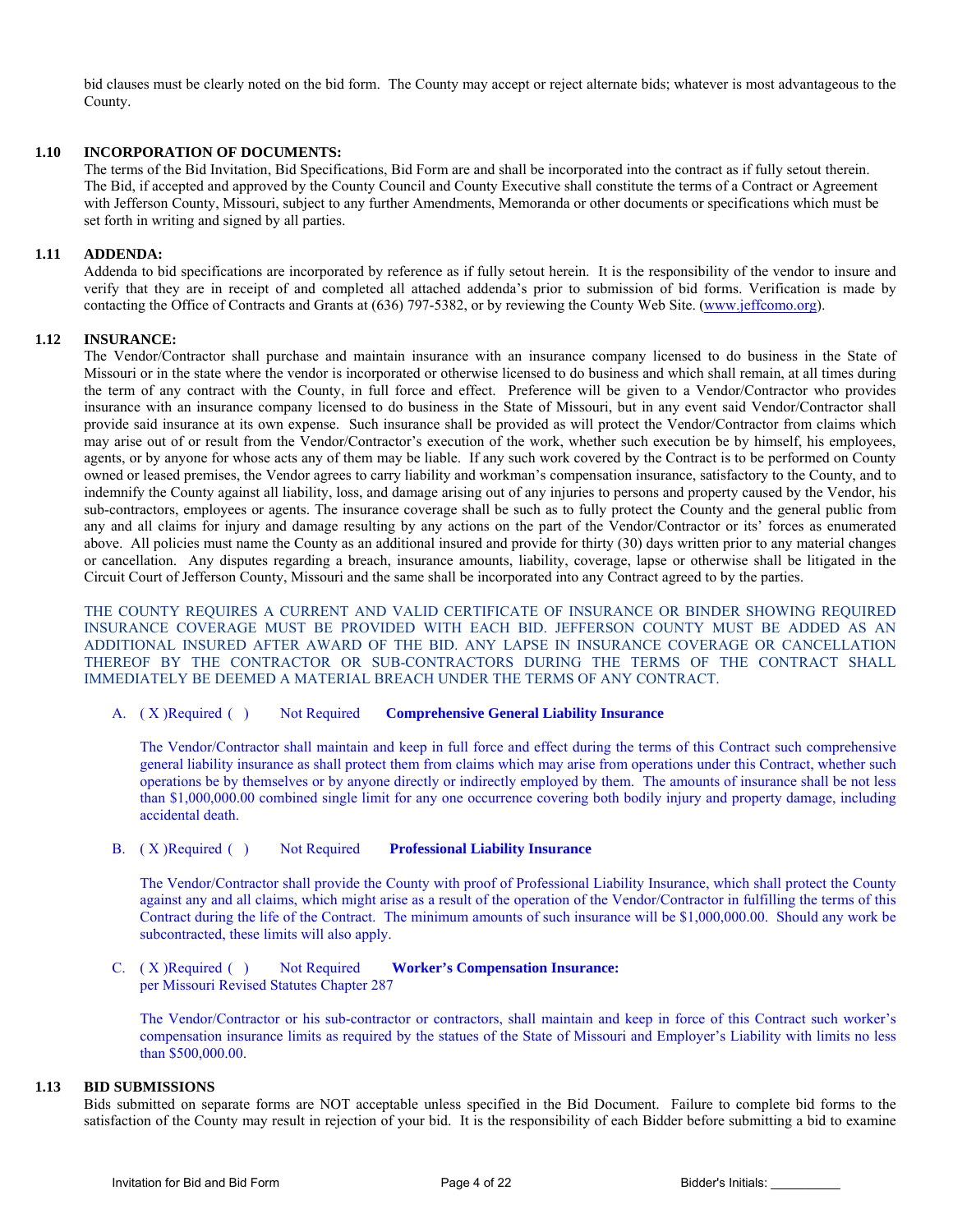bid clauses must be clearly noted on the bid form. The County may accept or reject alternate bids; whatever is most advantageous to the County.

#### **1.10 INCORPORATION OF DOCUMENTS:**

 The terms of the Bid Invitation, Bid Specifications, Bid Form are and shall be incorporated into the contract as if fully setout therein. The Bid, if accepted and approved by the County Council and County Executive shall constitute the terms of a Contract or Agreement with Jefferson County, Missouri, subject to any further Amendments, Memoranda or other documents or specifications which must be set forth in writing and signed by all parties.

#### **1.11 ADDENDA:**

 Addenda to bid specifications are incorporated by reference as if fully setout herein. It is the responsibility of the vendor to insure and verify that they are in receipt of and completed all attached addenda's prior to submission of bid forms. Verification is made by contacting the Office of Contracts and Grants at (636) 797-5382, or by reviewing the County Web Site. (www.jeffcomo.org).

#### **1.12 INSURANCE:**

 The Vendor/Contractor shall purchase and maintain insurance with an insurance company licensed to do business in the State of Missouri or in the state where the vendor is incorporated or otherwise licensed to do business and which shall remain, at all times during the term of any contract with the County, in full force and effect. Preference will be given to a Vendor/Contractor who provides insurance with an insurance company licensed to do business in the State of Missouri, but in any event said Vendor/Contractor shall provide said insurance at its own expense. Such insurance shall be provided as will protect the Vendor/Contractor from claims which may arise out of or result from the Vendor/Contractor's execution of the work, whether such execution be by himself, his employees, agents, or by anyone for whose acts any of them may be liable. If any such work covered by the Contract is to be performed on County owned or leased premises, the Vendor agrees to carry liability and workman's compensation insurance, satisfactory to the County, and to indemnify the County against all liability, loss, and damage arising out of any injuries to persons and property caused by the Vendor, his sub-contractors, employees or agents. The insurance coverage shall be such as to fully protect the County and the general public from any and all claims for injury and damage resulting by any actions on the part of the Vendor/Contractor or its' forces as enumerated above. All policies must name the County as an additional insured and provide for thirty (30) days written prior to any material changes or cancellation. Any disputes regarding a breach, insurance amounts, liability, coverage, lapse or otherwise shall be litigated in the Circuit Court of Jefferson County, Missouri and the same shall be incorporated into any Contract agreed to by the parties.

THE COUNTY REQUIRES A CURRENT AND VALID CERTIFICATE OF INSURANCE OR BINDER SHOWING REQUIRED INSURANCE COVERAGE MUST BE PROVIDED WITH EACH BID. JEFFERSON COUNTY MUST BE ADDED AS AN ADDITIONAL INSURED AFTER AWARD OF THE BID. ANY LAPSE IN INSURANCE COVERAGE OR CANCELLATION THEREOF BY THE CONTRACTOR OR SUB-CONTRACTORS DURING THE TERMS OF THE CONTRACT SHALL IMMEDIATELY BE DEEMED A MATERIAL BREACH UNDER THE TERMS OF ANY CONTRACT.

#### A. ( X ) Required ( ) Not Required **Comprehensive General Liability Insurance**

 The Vendor/Contractor shall maintain and keep in full force and effect during the terms of this Contract such comprehensive general liability insurance as shall protect them from claims which may arise from operations under this Contract, whether such operations be by themselves or by anyone directly or indirectly employed by them. The amounts of insurance shall be not less than \$1,000,000.00 combined single limit for any one occurrence covering both bodily injury and property damage, including accidental death.

#### B. ( X ) Required ( ) Not Required **Professional Liability Insurance**

 The Vendor/Contractor shall provide the County with proof of Professional Liability Insurance, which shall protect the County against any and all claims, which might arise as a result of the operation of the Vendor/Contractor in fulfilling the terms of this Contract during the life of the Contract. The minimum amounts of such insurance will be \$1,000,000.00. Should any work be subcontracted, these limits will also apply.

#### C. ( X ) Required ( ) Not Required **Worker's Compensation Insurance:**  per Missouri Revised Statutes Chapter 287

 The Vendor/Contractor or his sub-contractor or contractors, shall maintain and keep in force of this Contract such worker's compensation insurance limits as required by the statues of the State of Missouri and Employer's Liability with limits no less than \$500,000.00.

## **1.13 BID SUBMISSIONS**

 Bids submitted on separate forms are NOT acceptable unless specified in the Bid Document. Failure to complete bid forms to the satisfaction of the County may result in rejection of your bid. It is the responsibility of each Bidder before submitting a bid to examine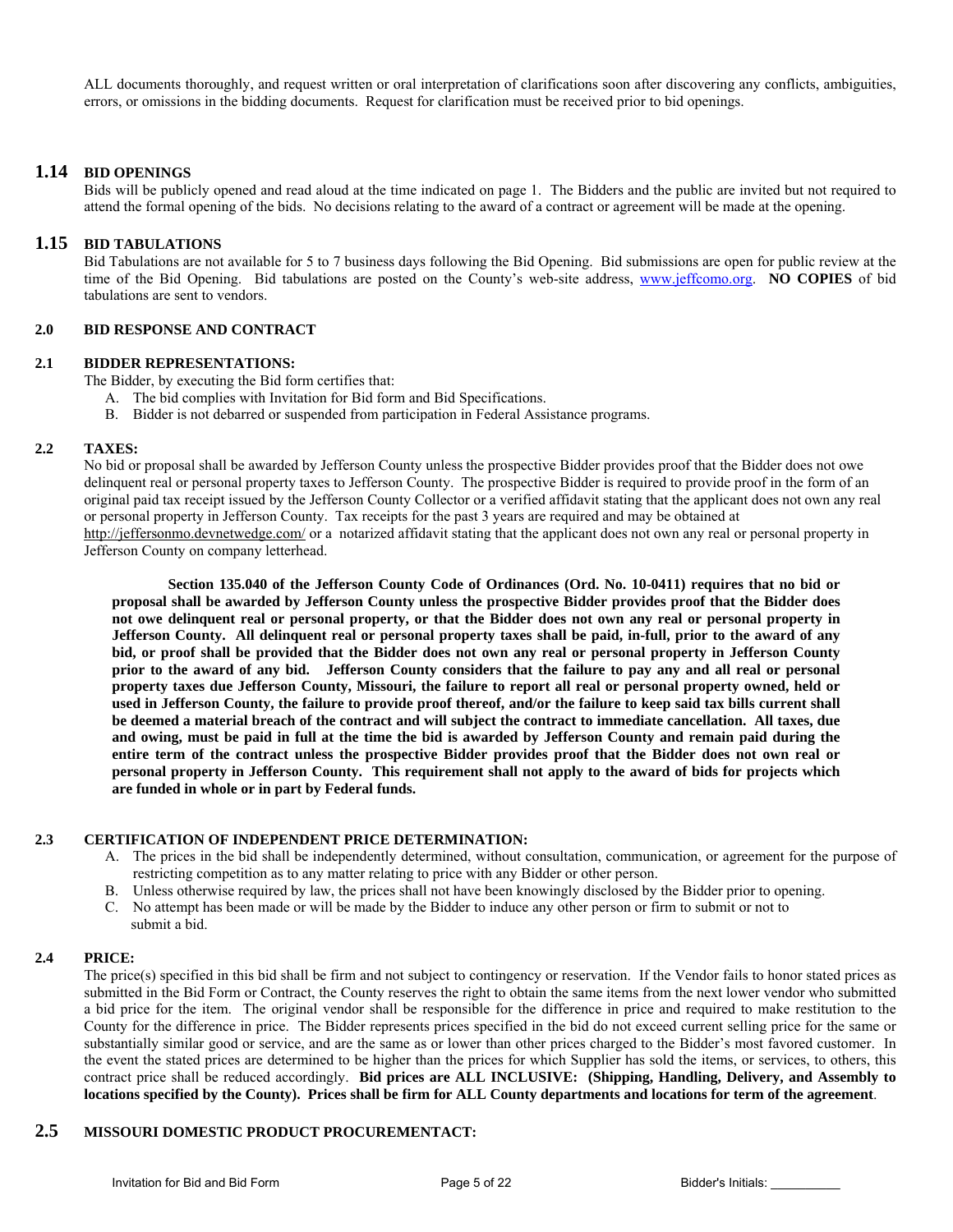ALL documents thoroughly, and request written or oral interpretation of clarifications soon after discovering any conflicts, ambiguities, errors, or omissions in the bidding documents. Request for clarification must be received prior to bid openings.

#### **1.14 BID OPENINGS**

 Bids will be publicly opened and read aloud at the time indicated on page 1. The Bidders and the public are invited but not required to attend the formal opening of the bids. No decisions relating to the award of a contract or agreement will be made at the opening.

#### **1.15 BID TABULATIONS**

 Bid Tabulations are not available for 5 to 7 business days following the Bid Opening. Bid submissions are open for public review at the time of the Bid Opening. Bid tabulations are posted on the County's web-site address, www.jeffcomo.org. **NO COPIES** of bid tabulations are sent to vendors.

#### **2.0 BID RESPONSE AND CONTRACT**

#### **2.1 BIDDER REPRESENTATIONS:**

The Bidder, by executing the Bid form certifies that:

- A. The bid complies with Invitation for Bid form and Bid Specifications.
- B. Bidder is not debarred or suspended from participation in Federal Assistance programs.

#### **2.2 TAXES:**

No bid or proposal shall be awarded by Jefferson County unless the prospective Bidder provides proof that the Bidder does not owe delinquent real or personal property taxes to Jefferson County. The prospective Bidder is required to provide proof in the form of an original paid tax receipt issued by the Jefferson County Collector or a verified affidavit stating that the applicant does not own any real or personal property in Jefferson County. Tax receipts for the past 3 years are required and may be obtained at http://jeffersonmo.devnetwedge.com/ or a notarized affidavit stating that the applicant does not own any real or personal property in Jefferson County on company letterhead.

 **Section 135.040 of the Jefferson County Code of Ordinances (Ord. No. 10-0411) requires that no bid or proposal shall be awarded by Jefferson County unless the prospective Bidder provides proof that the Bidder does not owe delinquent real or personal property, or that the Bidder does not own any real or personal property in Jefferson County. All delinquent real or personal property taxes shall be paid, in-full, prior to the award of any bid, or proof shall be provided that the Bidder does not own any real or personal property in Jefferson County prior to the award of any bid. Jefferson County considers that the failure to pay any and all real or personal property taxes due Jefferson County, Missouri, the failure to report all real or personal property owned, held or used in Jefferson County, the failure to provide proof thereof, and/or the failure to keep said tax bills current shall be deemed a material breach of the contract and will subject the contract to immediate cancellation. All taxes, due and owing, must be paid in full at the time the bid is awarded by Jefferson County and remain paid during the entire term of the contract unless the prospective Bidder provides proof that the Bidder does not own real or personal property in Jefferson County. This requirement shall not apply to the award of bids for projects which are funded in whole or in part by Federal funds.** 

#### **2.3 CERTIFICATION OF INDEPENDENT PRICE DETERMINATION:**

- A. The prices in the bid shall be independently determined, without consultation, communication, or agreement for the purpose of restricting competition as to any matter relating to price with any Bidder or other person.
- B. Unless otherwise required by law, the prices shall not have been knowingly disclosed by the Bidder prior to opening.
- C. No attempt has been made or will be made by the Bidder to induce any other person or firm to submit or not to submit a bid.

#### **2.4 PRICE:**

 The price(s) specified in this bid shall be firm and not subject to contingency or reservation. If the Vendor fails to honor stated prices as submitted in the Bid Form or Contract, the County reserves the right to obtain the same items from the next lower vendor who submitted a bid price for the item. The original vendor shall be responsible for the difference in price and required to make restitution to the County for the difference in price. The Bidder represents prices specified in the bid do not exceed current selling price for the same or substantially similar good or service, and are the same as or lower than other prices charged to the Bidder's most favored customer. In the event the stated prices are determined to be higher than the prices for which Supplier has sold the items, or services, to others, this contract price shall be reduced accordingly. **Bid prices are ALL INCLUSIVE: (Shipping, Handling, Delivery, and Assembly to locations specified by the County). Prices shall be firm for ALL County departments and locations for term of the agreement**.

## **2.5 MISSOURI DOMESTIC PRODUCT PROCUREMENTACT:**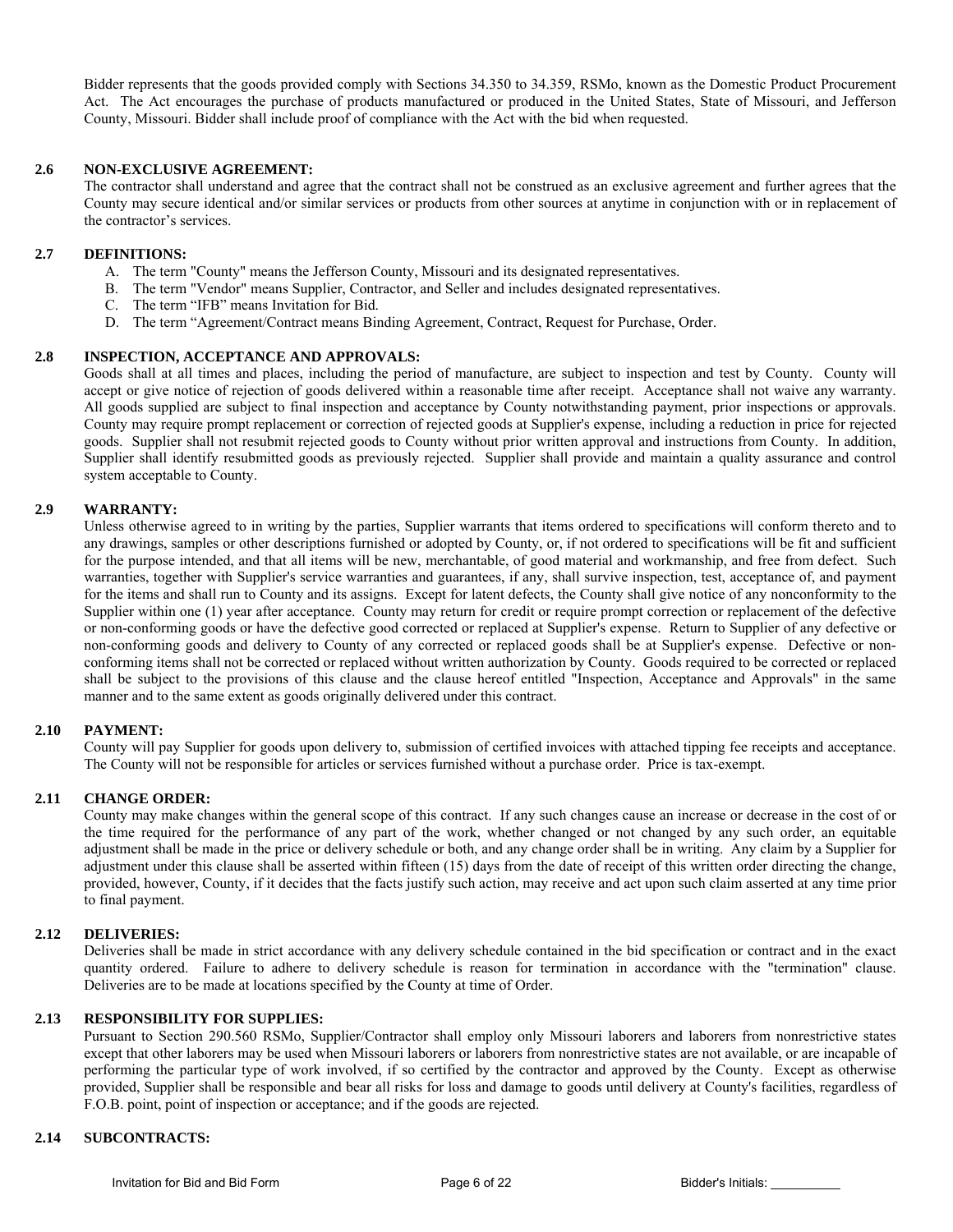Bidder represents that the goods provided comply with Sections 34.350 to 34.359, RSMo, known as the Domestic Product Procurement Act. The Act encourages the purchase of products manufactured or produced in the United States, State of Missouri, and Jefferson County, Missouri. Bidder shall include proof of compliance with the Act with the bid when requested.

#### **2.6 NON-EXCLUSIVE AGREEMENT:**

 The contractor shall understand and agree that the contract shall not be construed as an exclusive agreement and further agrees that the County may secure identical and/or similar services or products from other sources at anytime in conjunction with or in replacement of the contractor's services.

#### **2.7 DEFINITIONS:**

- A. The term "County" means the Jefferson County, Missouri and its designated representatives.
- B. The term "Vendor" means Supplier, Contractor, and Seller and includes designated representatives.
- C. The term "IFB" means Invitation for Bid.
- D. The term "Agreement/Contract means Binding Agreement, Contract, Request for Purchase, Order.

#### **2.8 INSPECTION, ACCEPTANCE AND APPROVALS:**

 Goods shall at all times and places, including the period of manufacture, are subject to inspection and test by County. County will accept or give notice of rejection of goods delivered within a reasonable time after receipt. Acceptance shall not waive any warranty. All goods supplied are subject to final inspection and acceptance by County notwithstanding payment, prior inspections or approvals. County may require prompt replacement or correction of rejected goods at Supplier's expense, including a reduction in price for rejected goods. Supplier shall not resubmit rejected goods to County without prior written approval and instructions from County. In addition, Supplier shall identify resubmitted goods as previously rejected. Supplier shall provide and maintain a quality assurance and control system acceptable to County.

#### **2.9 WARRANTY:**

 Unless otherwise agreed to in writing by the parties, Supplier warrants that items ordered to specifications will conform thereto and to any drawings, samples or other descriptions furnished or adopted by County, or, if not ordered to specifications will be fit and sufficient for the purpose intended, and that all items will be new, merchantable, of good material and workmanship, and free from defect. Such warranties, together with Supplier's service warranties and guarantees, if any, shall survive inspection, test, acceptance of, and payment for the items and shall run to County and its assigns. Except for latent defects, the County shall give notice of any nonconformity to the Supplier within one (1) year after acceptance. County may return for credit or require prompt correction or replacement of the defective or non-conforming goods or have the defective good corrected or replaced at Supplier's expense. Return to Supplier of any defective or non-conforming goods and delivery to County of any corrected or replaced goods shall be at Supplier's expense. Defective or nonconforming items shall not be corrected or replaced without written authorization by County. Goods required to be corrected or replaced shall be subject to the provisions of this clause and the clause hereof entitled "Inspection, Acceptance and Approvals" in the same manner and to the same extent as goods originally delivered under this contract.

#### **2.10 PAYMENT:**

 County will pay Supplier for goods upon delivery to, submission of certified invoices with attached tipping fee receipts and acceptance. The County will not be responsible for articles or services furnished without a purchase order. Price is tax-exempt.

#### **2.11 CHANGE ORDER:**

 County may make changes within the general scope of this contract. If any such changes cause an increase or decrease in the cost of or the time required for the performance of any part of the work, whether changed or not changed by any such order, an equitable adjustment shall be made in the price or delivery schedule or both, and any change order shall be in writing. Any claim by a Supplier for adjustment under this clause shall be asserted within fifteen (15) days from the date of receipt of this written order directing the change, provided, however, County, if it decides that the facts justify such action, may receive and act upon such claim asserted at any time prior to final payment.

#### **2.12 DELIVERIES:**

 Deliveries shall be made in strict accordance with any delivery schedule contained in the bid specification or contract and in the exact quantity ordered. Failure to adhere to delivery schedule is reason for termination in accordance with the "termination" clause. Deliveries are to be made at locations specified by the County at time of Order.

#### **2.13 RESPONSIBILITY FOR SUPPLIES:**

 Pursuant to Section 290.560 RSMo, Supplier/Contractor shall employ only Missouri laborers and laborers from nonrestrictive states except that other laborers may be used when Missouri laborers or laborers from nonrestrictive states are not available, or are incapable of performing the particular type of work involved, if so certified by the contractor and approved by the County. Except as otherwise provided, Supplier shall be responsible and bear all risks for loss and damage to goods until delivery at County's facilities, regardless of F.O.B. point, point of inspection or acceptance; and if the goods are rejected.

### **2.14 SUBCONTRACTS:**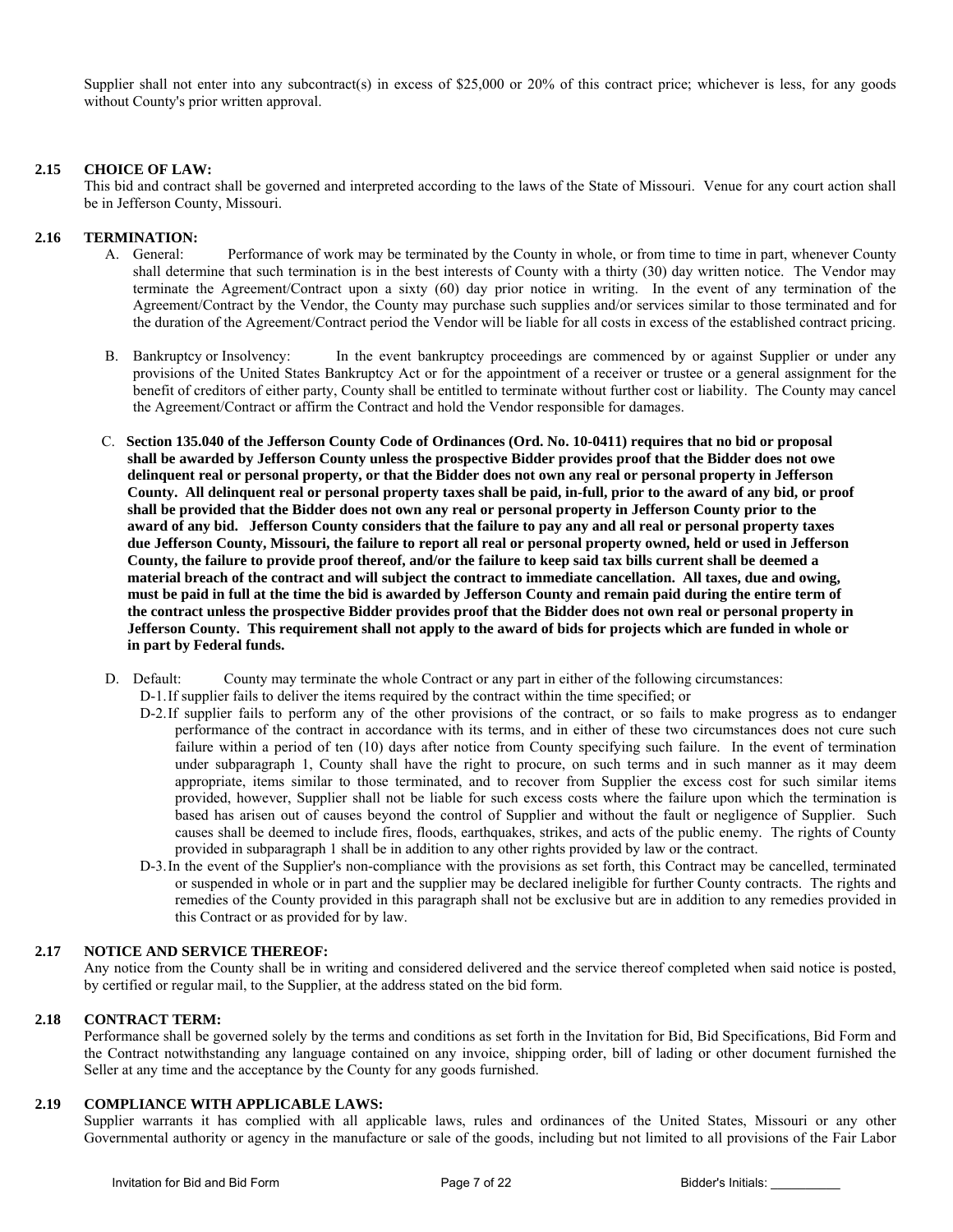Supplier shall not enter into any subcontract(s) in excess of \$25,000 or 20% of this contract price; whichever is less, for any goods without County's prior written approval.

#### **2.15 CHOICE OF LAW:**

 This bid and contract shall be governed and interpreted according to the laws of the State of Missouri. Venue for any court action shall be in Jefferson County, Missouri.

#### **2.16 TERMINATION:**

- A. General: Performance of work may be terminated by the County in whole, or from time to time in part, whenever County shall determine that such termination is in the best interests of County with a thirty (30) day written notice. The Vendor may terminate the Agreement/Contract upon a sixty (60) day prior notice in writing. In the event of any termination of the Agreement/Contract by the Vendor, the County may purchase such supplies and/or services similar to those terminated and for the duration of the Agreement/Contract period the Vendor will be liable for all costs in excess of the established contract pricing.
- B. Bankruptcy or Insolvency: In the event bankruptcy proceedings are commenced by or against Supplier or under any provisions of the United States Bankruptcy Act or for the appointment of a receiver or trustee or a general assignment for the benefit of creditors of either party, County shall be entitled to terminate without further cost or liability. The County may cancel the Agreement/Contract or affirm the Contract and hold the Vendor responsible for damages.
- C. **Section 135.040 of the Jefferson County Code of Ordinances (Ord. No. 10-0411) requires that no bid or proposal shall be awarded by Jefferson County unless the prospective Bidder provides proof that the Bidder does not owe delinquent real or personal property, or that the Bidder does not own any real or personal property in Jefferson County. All delinquent real or personal property taxes shall be paid, in-full, prior to the award of any bid, or proof shall be provided that the Bidder does not own any real or personal property in Jefferson County prior to the award of any bid. Jefferson County considers that the failure to pay any and all real or personal property taxes due Jefferson County, Missouri, the failure to report all real or personal property owned, held or used in Jefferson County, the failure to provide proof thereof, and/or the failure to keep said tax bills current shall be deemed a material breach of the contract and will subject the contract to immediate cancellation. All taxes, due and owing, must be paid in full at the time the bid is awarded by Jefferson County and remain paid during the entire term of the contract unless the prospective Bidder provides proof that the Bidder does not own real or personal property in Jefferson County. This requirement shall not apply to the award of bids for projects which are funded in whole or in part by Federal funds.**
- D. Default: County may terminate the whole Contract or any part in either of the following circumstances:

D-1. If supplier fails to deliver the items required by the contract within the time specified; or

- D-2. If supplier fails to perform any of the other provisions of the contract, or so fails to make progress as to endanger performance of the contract in accordance with its terms, and in either of these two circumstances does not cure such failure within a period of ten (10) days after notice from County specifying such failure. In the event of termination under subparagraph 1, County shall have the right to procure, on such terms and in such manner as it may deem appropriate, items similar to those terminated, and to recover from Supplier the excess cost for such similar items provided, however, Supplier shall not be liable for such excess costs where the failure upon which the termination is based has arisen out of causes beyond the control of Supplier and without the fault or negligence of Supplier. Such causes shall be deemed to include fires, floods, earthquakes, strikes, and acts of the public enemy. The rights of County provided in subparagraph 1 shall be in addition to any other rights provided by law or the contract.
- D-3. In the event of the Supplier's non-compliance with the provisions as set forth, this Contract may be cancelled, terminated or suspended in whole or in part and the supplier may be declared ineligible for further County contracts. The rights and remedies of the County provided in this paragraph shall not be exclusive but are in addition to any remedies provided in this Contract or as provided for by law.

#### **2.17 NOTICE AND SERVICE THEREOF:**

 Any notice from the County shall be in writing and considered delivered and the service thereof completed when said notice is posted, by certified or regular mail, to the Supplier, at the address stated on the bid form.

#### **2.18 CONTRACT TERM:**

 Performance shall be governed solely by the terms and conditions as set forth in the Invitation for Bid, Bid Specifications, Bid Form and the Contract notwithstanding any language contained on any invoice, shipping order, bill of lading or other document furnished the Seller at any time and the acceptance by the County for any goods furnished.

#### **2.19 COMPLIANCE WITH APPLICABLE LAWS:**

 Supplier warrants it has complied with all applicable laws, rules and ordinances of the United States, Missouri or any other Governmental authority or agency in the manufacture or sale of the goods, including but not limited to all provisions of the Fair Labor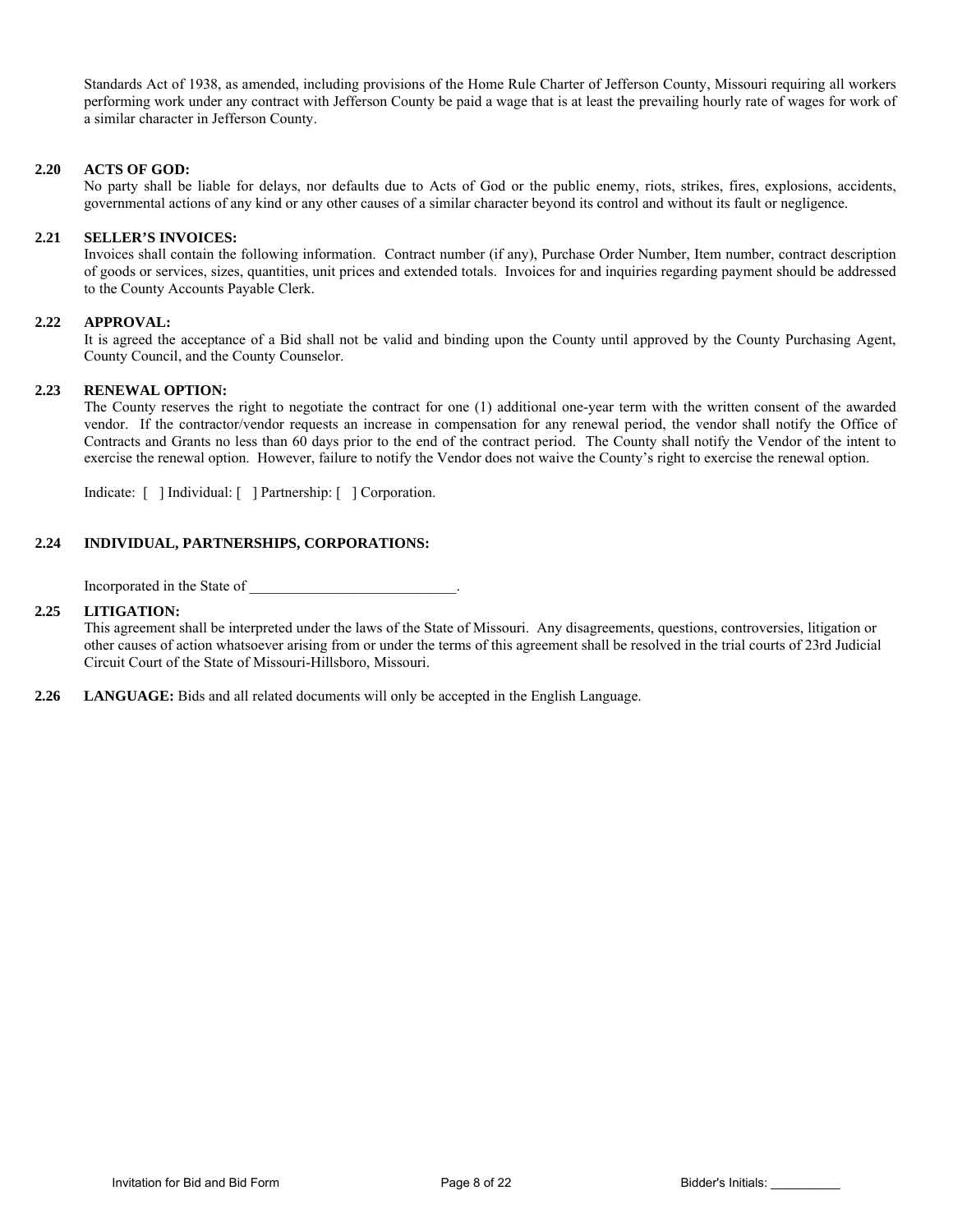Standards Act of 1938, as amended, including provisions of the Home Rule Charter of Jefferson County, Missouri requiring all workers performing work under any contract with Jefferson County be paid a wage that is at least the prevailing hourly rate of wages for work of a similar character in Jefferson County.

#### **2.20 ACTS OF GOD:**

 No party shall be liable for delays, nor defaults due to Acts of God or the public enemy, riots, strikes, fires, explosions, accidents, governmental actions of any kind or any other causes of a similar character beyond its control and without its fault or negligence.

#### **2.21 SELLER'S INVOICES:**

 Invoices shall contain the following information. Contract number (if any), Purchase Order Number, Item number, contract description of goods or services, sizes, quantities, unit prices and extended totals. Invoices for and inquiries regarding payment should be addressed to the County Accounts Payable Clerk.

#### **2.22 APPROVAL:**

 It is agreed the acceptance of a Bid shall not be valid and binding upon the County until approved by the County Purchasing Agent, County Council, and the County Counselor.

#### **2.23 RENEWAL OPTION:**

 The County reserves the right to negotiate the contract for one (1) additional one-year term with the written consent of the awarded vendor. If the contractor/vendor requests an increase in compensation for any renewal period, the vendor shall notify the Office of Contracts and Grants no less than 60 days prior to the end of the contract period. The County shall notify the Vendor of the intent to exercise the renewal option. However, failure to notify the Vendor does not waive the County's right to exercise the renewal option.

Indicate: [ ] Individual: [ ] Partnership: [ ] Corporation.

#### **2.24 INDIVIDUAL, PARTNERSHIPS, CORPORATIONS:**

Incorporated in the State of

#### **2.25 LITIGATION:**

This agreement shall be interpreted under the laws of the State of Missouri. Any disagreements, questions, controversies, litigation or other causes of action whatsoever arising from or under the terms of this agreement shall be resolved in the trial courts of 23rd Judicial Circuit Court of the State of Missouri-Hillsboro, Missouri.

**2.26 LANGUAGE:** Bids and all related documents will only be accepted in the English Language.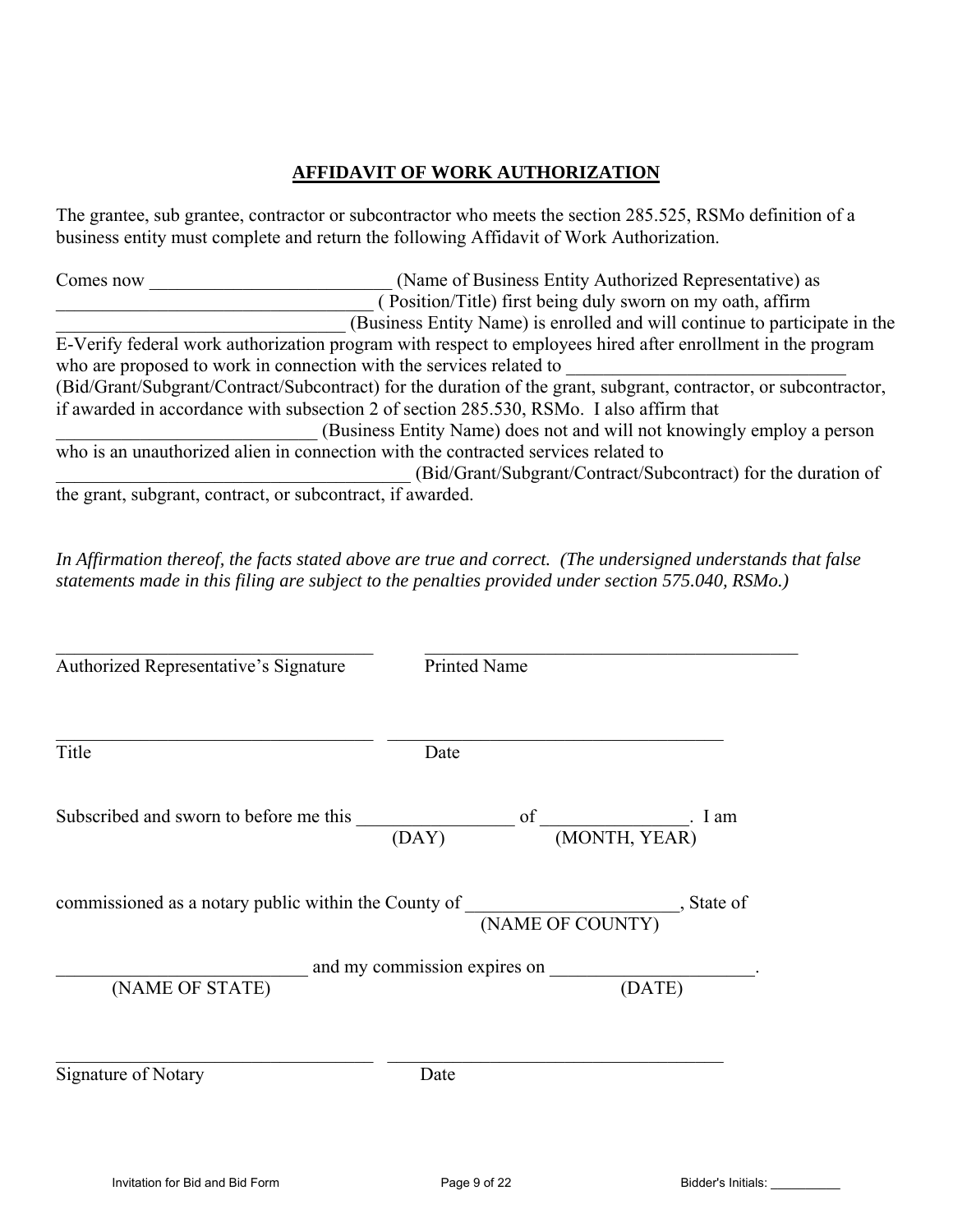## **AFFIDAVIT OF WORK AUTHORIZATION**

The grantee, sub grantee, contractor or subcontractor who meets the section 285.525, RSMo definition of a business entity must complete and return the following Affidavit of Work Authorization.

Comes now Comes now (Name of Business Entity Authorized Representative) as \_\_\_\_\_\_\_\_\_\_\_\_\_\_\_\_\_\_\_\_\_\_\_\_\_\_\_\_\_\_\_\_\_\_ ( Position/Title) first being duly sworn on my oath, affirm \_\_\_\_\_\_\_\_\_\_\_\_\_\_\_\_\_\_\_\_\_\_\_\_\_\_\_\_\_\_\_ (Business Entity Name) is enrolled and will continue to participate in the E-Verify federal work authorization program with respect to employees hired after enrollment in the program who are proposed to work in connection with the services related to (Bid/Grant/Subgrant/Contract/Subcontract) for the duration of the grant, subgrant, contractor, or subcontractor, if awarded in accordance with subsection 2 of section 285.530, RSMo. I also affirm that \_\_\_\_\_\_\_\_\_\_\_\_\_\_\_\_\_\_\_\_\_\_\_\_\_\_\_\_ (Business Entity Name) does not and will not knowingly employ a person who is an unauthorized alien in connection with the contracted services related to \_\_\_\_\_\_\_\_\_\_\_\_\_\_\_\_\_\_\_\_\_\_\_\_\_\_\_\_\_\_\_\_\_\_\_\_\_\_ (Bid/Grant/Subgrant/Contract/Subcontract) for the duration of the grant, subgrant, contract, or subcontract, if awarded.

*In Affirmation thereof, the facts stated above are true and correct. (The undersigned understands that false statements made in this filing are subject to the penalties provided under section 575.040, RSMo.)* 

| Authorized Representative's Signature                                              | <b>Printed Name</b>          |                                          |
|------------------------------------------------------------------------------------|------------------------------|------------------------------------------|
| Title                                                                              | Date                         |                                          |
| Subscribed and sworn to before me this                                             | (DAY)                        | of $\qquad \qquad$ I am<br>(MONTH, YEAR) |
| commissioned as a notary public within the County of (NAME OF COUNTY).<br>State of |                              |                                          |
|                                                                                    | and my commission expires on |                                          |
| (NAME OF STATE)                                                                    |                              | (DATE)                                   |
| Signature of Notary                                                                | Date                         |                                          |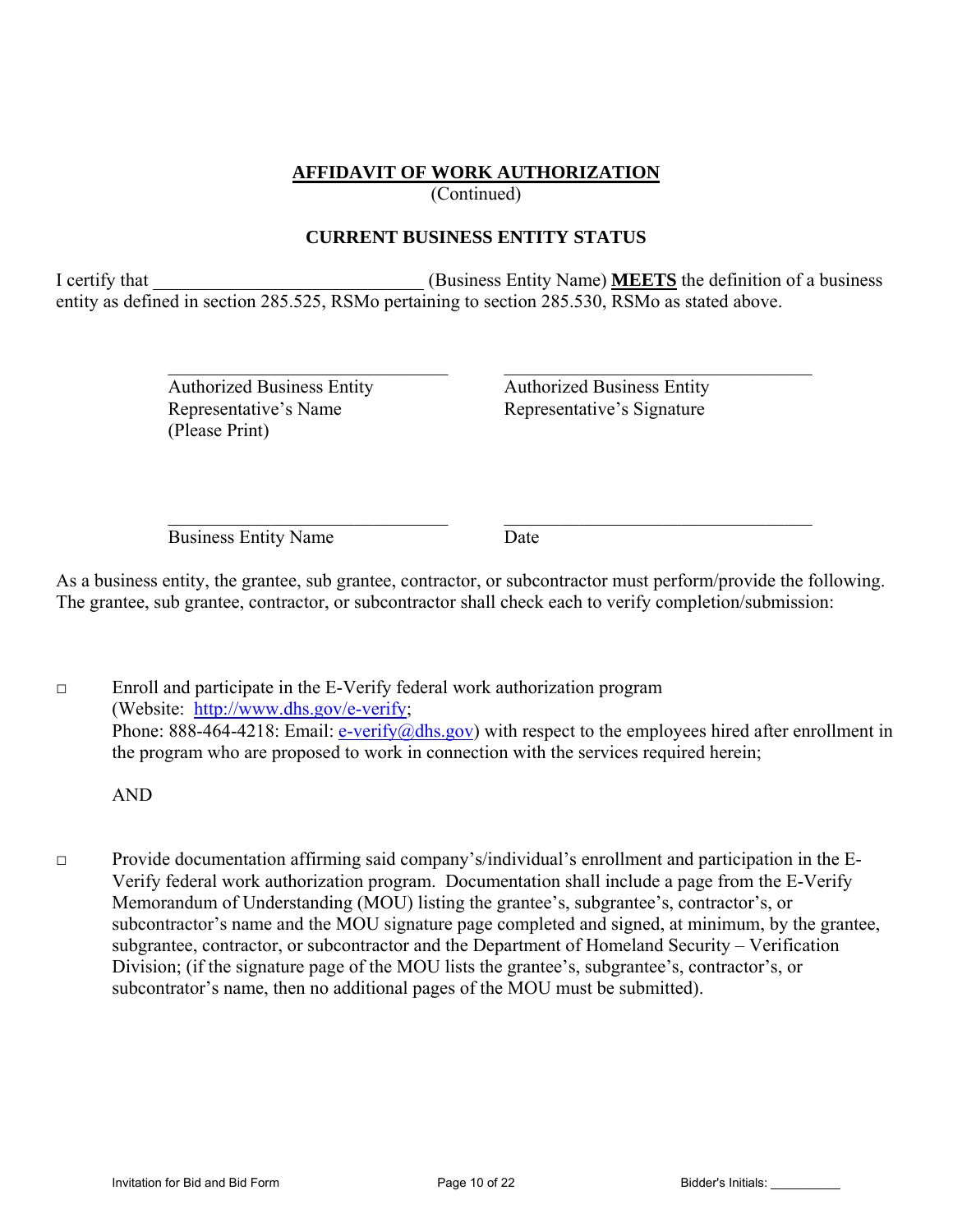## **AFFIDAVIT OF WORK AUTHORIZATION**

(Continued)

## **CURRENT BUSINESS ENTITY STATUS**

I certify that **I** certify that **I** certify that **I** certify that **I** certify that **I** certify that **I** certify that **I** certify that **I** certify that **I** certify that **I** certify that **I** certify that **I** certify that **I** entity as defined in section 285.525, RSMo pertaining to section 285.530, RSMo as stated above.

 $\mathcal{L}_\text{max} = \frac{1}{2} \sum_{i=1}^n \mathcal{L}_\text{max}(\mathbf{z}_i - \mathbf{z}_i)$ 

 $\mathcal{L}_\mathcal{L} = \mathcal{L}_\mathcal{L} = \mathcal{L}_\mathcal{L} = \mathcal{L}_\mathcal{L} = \mathcal{L}_\mathcal{L} = \mathcal{L}_\mathcal{L} = \mathcal{L}_\mathcal{L} = \mathcal{L}_\mathcal{L} = \mathcal{L}_\mathcal{L} = \mathcal{L}_\mathcal{L} = \mathcal{L}_\mathcal{L} = \mathcal{L}_\mathcal{L} = \mathcal{L}_\mathcal{L} = \mathcal{L}_\mathcal{L} = \mathcal{L}_\mathcal{L} = \mathcal{L}_\mathcal{L} = \mathcal{L}_\mathcal{L}$ 

 Authorized Business Entity Authorized Business Entity Representative's Name Representative's Signature (Please Print)

Business Entity Name Date

As a business entity, the grantee, sub grantee, contractor, or subcontractor must perform/provide the following. The grantee, sub grantee, contractor, or subcontractor shall check each to verify completion/submission:

□ Enroll and participate in the E-Verify federal work authorization program (Website: http://www.dhs.gov/e-verify; Phone: 888-464-4218: Email: e-verify@dhs.gov) with respect to the employees hired after enrollment in the program who are proposed to work in connection with the services required herein;

AND

□ Provide documentation affirming said company's/individual's enrollment and participation in the E-Verify federal work authorization program. Documentation shall include a page from the E-Verify Memorandum of Understanding (MOU) listing the grantee's, subgrantee's, contractor's, or subcontractor's name and the MOU signature page completed and signed, at minimum, by the grantee, subgrantee, contractor, or subcontractor and the Department of Homeland Security – Verification Division; (if the signature page of the MOU lists the grantee's, subgrantee's, contractor's, or subcontrator's name, then no additional pages of the MOU must be submitted).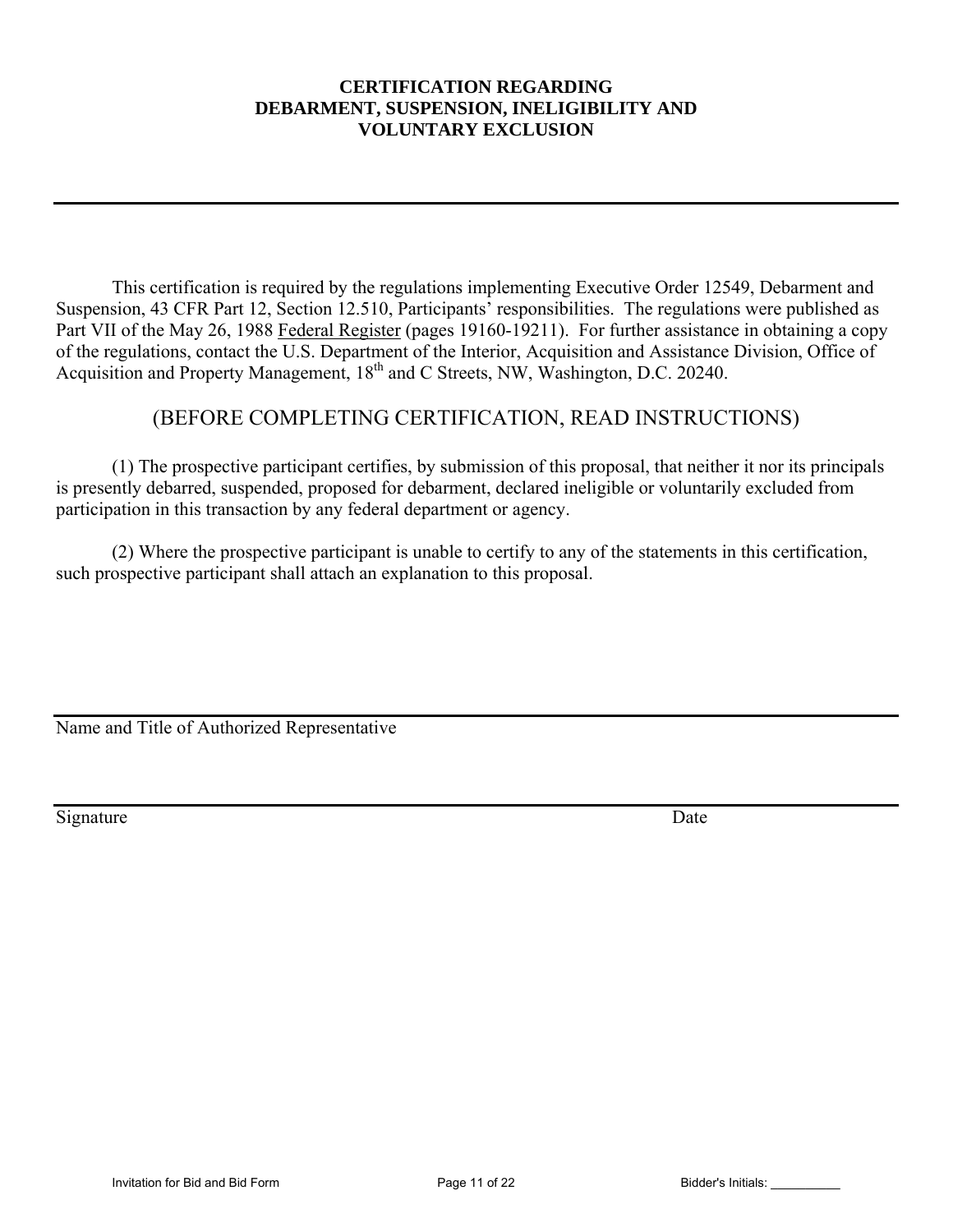## **CERTIFICATION REGARDING DEBARMENT, SUSPENSION, INELIGIBILITY AND VOLUNTARY EXCLUSION**

This certification is required by the regulations implementing Executive Order 12549, Debarment and Suspension, 43 CFR Part 12, Section 12.510, Participants' responsibilities. The regulations were published as Part VII of the May 26, 1988 Federal Register (pages 19160-19211). For further assistance in obtaining a copy of the regulations, contact the U.S. Department of the Interior, Acquisition and Assistance Division, Office of Acquisition and Property Management, 18<sup>th</sup> and C Streets, NW, Washington, D.C. 20240.

# (BEFORE COMPLETING CERTIFICATION, READ INSTRUCTIONS)

 (1) The prospective participant certifies, by submission of this proposal, that neither it nor its principals is presently debarred, suspended, proposed for debarment, declared ineligible or voluntarily excluded from participation in this transaction by any federal department or agency.

 (2) Where the prospective participant is unable to certify to any of the statements in this certification, such prospective participant shall attach an explanation to this proposal.

Name and Title of Authorized Representative

Signature Date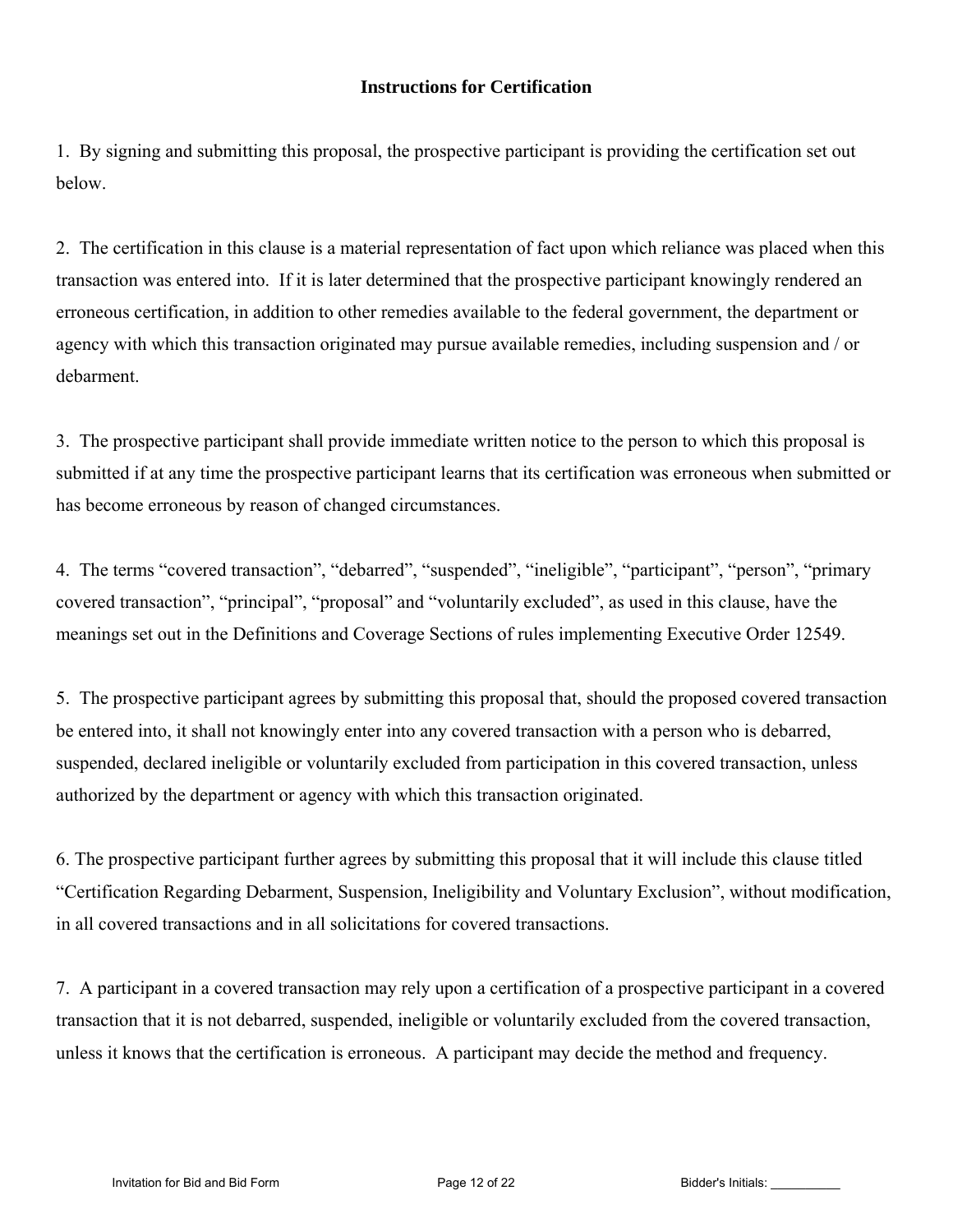## **Instructions for Certification**

1. By signing and submitting this proposal, the prospective participant is providing the certification set out below.

2. The certification in this clause is a material representation of fact upon which reliance was placed when this transaction was entered into. If it is later determined that the prospective participant knowingly rendered an erroneous certification, in addition to other remedies available to the federal government, the department or agency with which this transaction originated may pursue available remedies, including suspension and / or debarment.

3. The prospective participant shall provide immediate written notice to the person to which this proposal is submitted if at any time the prospective participant learns that its certification was erroneous when submitted or has become erroneous by reason of changed circumstances.

4. The terms "covered transaction", "debarred", "suspended", "ineligible", "participant", "person", "primary covered transaction", "principal", "proposal" and "voluntarily excluded", as used in this clause, have the meanings set out in the Definitions and Coverage Sections of rules implementing Executive Order 12549.

5. The prospective participant agrees by submitting this proposal that, should the proposed covered transaction be entered into, it shall not knowingly enter into any covered transaction with a person who is debarred, suspended, declared ineligible or voluntarily excluded from participation in this covered transaction, unless authorized by the department or agency with which this transaction originated.

6. The prospective participant further agrees by submitting this proposal that it will include this clause titled "Certification Regarding Debarment, Suspension, Ineligibility and Voluntary Exclusion", without modification, in all covered transactions and in all solicitations for covered transactions.

7. A participant in a covered transaction may rely upon a certification of a prospective participant in a covered transaction that it is not debarred, suspended, ineligible or voluntarily excluded from the covered transaction, unless it knows that the certification is erroneous. A participant may decide the method and frequency.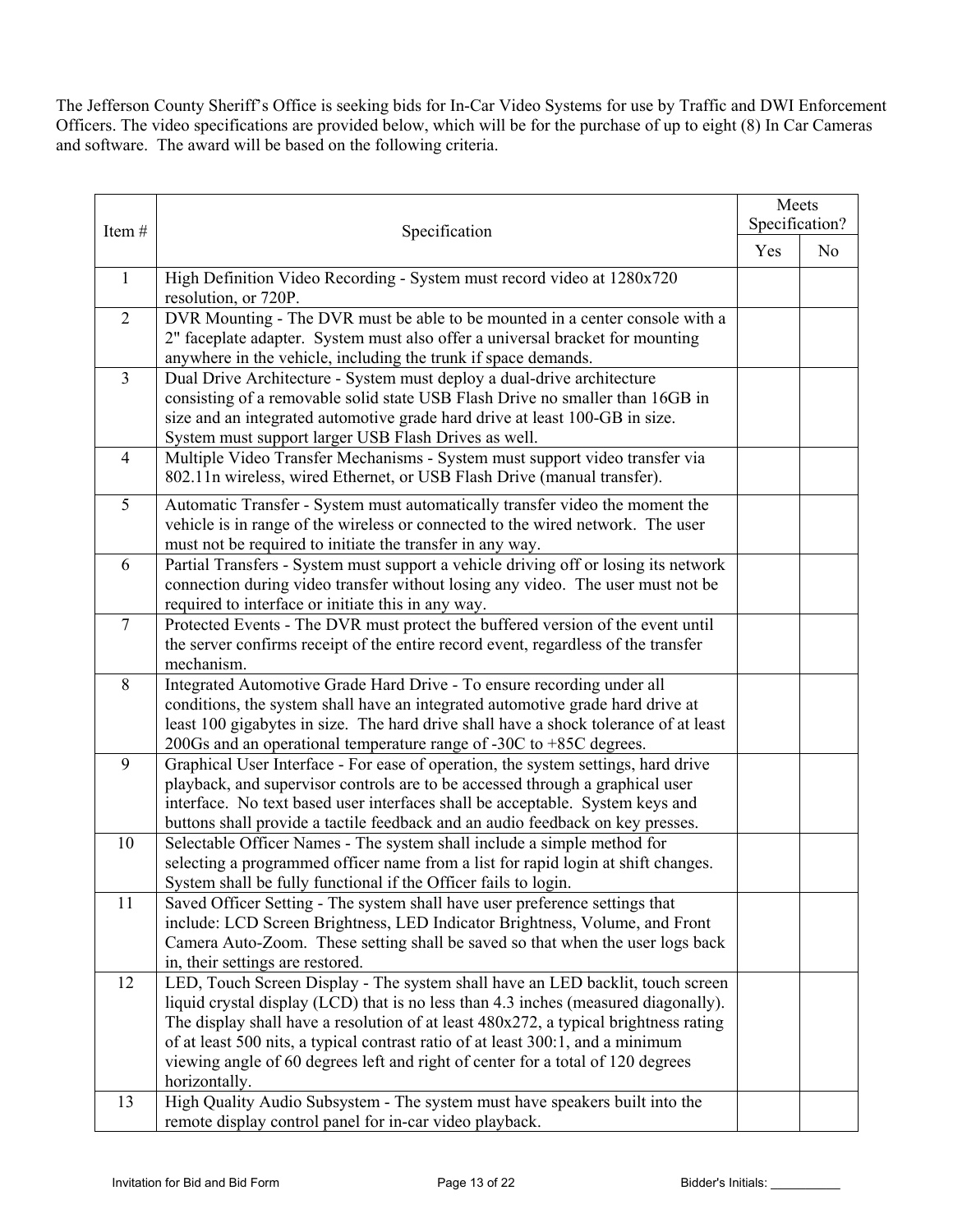The Jefferson County Sheriff's Office is seeking bids for In-Car Video Systems for use by Traffic and DWI Enforcement Officers. The video specifications are provided below, which will be for the purchase of up to eight (8) In Car Cameras and software. The award will be based on the following criteria.

|                |                                                                                                                                                                       |     | Meets<br>Specification? |  |
|----------------|-----------------------------------------------------------------------------------------------------------------------------------------------------------------------|-----|-------------------------|--|
| Item#          | Specification                                                                                                                                                         |     |                         |  |
|                |                                                                                                                                                                       | Yes | N <sub>o</sub>          |  |
| $\mathbf{1}$   | High Definition Video Recording - System must record video at 1280x720<br>resolution, or 720P.                                                                        |     |                         |  |
| $\overline{2}$ | DVR Mounting - The DVR must be able to be mounted in a center console with a                                                                                          |     |                         |  |
|                | 2" faceplate adapter. System must also offer a universal bracket for mounting<br>anywhere in the vehicle, including the trunk if space demands.                       |     |                         |  |
| $\overline{3}$ | Dual Drive Architecture - System must deploy a dual-drive architecture                                                                                                |     |                         |  |
|                | consisting of a removable solid state USB Flash Drive no smaller than 16GB in<br>size and an integrated automotive grade hard drive at least 100-GB in size.          |     |                         |  |
|                | System must support larger USB Flash Drives as well.                                                                                                                  |     |                         |  |
| $\overline{4}$ | Multiple Video Transfer Mechanisms - System must support video transfer via                                                                                           |     |                         |  |
|                | 802.11n wireless, wired Ethernet, or USB Flash Drive (manual transfer).                                                                                               |     |                         |  |
| 5              | Automatic Transfer - System must automatically transfer video the moment the<br>vehicle is in range of the wireless or connected to the wired network. The user       |     |                         |  |
|                | must not be required to initiate the transfer in any way.                                                                                                             |     |                         |  |
| 6              | Partial Transfers - System must support a vehicle driving off or losing its network                                                                                   |     |                         |  |
|                | connection during video transfer without losing any video. The user must not be<br>required to interface or initiate this in any way.                                 |     |                         |  |
| $\overline{7}$ | Protected Events - The DVR must protect the buffered version of the event until                                                                                       |     |                         |  |
|                | the server confirms receipt of the entire record event, regardless of the transfer                                                                                    |     |                         |  |
| 8              | mechanism.<br>Integrated Automotive Grade Hard Drive - To ensure recording under all                                                                                  |     |                         |  |
|                | conditions, the system shall have an integrated automotive grade hard drive at                                                                                        |     |                         |  |
|                | least 100 gigabytes in size. The hard drive shall have a shock tolerance of at least                                                                                  |     |                         |  |
| 9              | 200Gs and an operational temperature range of -30C to $+85C$ degrees.<br>Graphical User Interface - For ease of operation, the system settings, hard drive            |     |                         |  |
|                | playback, and supervisor controls are to be accessed through a graphical user                                                                                         |     |                         |  |
|                | interface. No text based user interfaces shall be acceptable. System keys and                                                                                         |     |                         |  |
| 10             | buttons shall provide a tactile feedback and an audio feedback on key presses.<br>Selectable Officer Names - The system shall include a simple method for             |     |                         |  |
|                | selecting a programmed officer name from a list for rapid login at shift changes.                                                                                     |     |                         |  |
|                | System shall be fully functional if the Officer fails to login.                                                                                                       |     |                         |  |
| 11             | Saved Officer Setting - The system shall have user preference settings that<br>include: LCD Screen Brightness, LED Indicator Brightness, Volume, and Front            |     |                         |  |
|                | Camera Auto-Zoom. These setting shall be saved so that when the user logs back                                                                                        |     |                         |  |
|                | in, their settings are restored.                                                                                                                                      |     |                         |  |
| 12             | LED, Touch Screen Display - The system shall have an LED backlit, touch screen<br>liquid crystal display (LCD) that is no less than 4.3 inches (measured diagonally). |     |                         |  |
|                | The display shall have a resolution of at least 480x272, a typical brightness rating                                                                                  |     |                         |  |
|                | of at least 500 nits, a typical contrast ratio of at least 300:1, and a minimum                                                                                       |     |                         |  |
|                | viewing angle of 60 degrees left and right of center for a total of 120 degrees<br>horizontally.                                                                      |     |                         |  |
| 13             | High Quality Audio Subsystem - The system must have speakers built into the                                                                                           |     |                         |  |
|                | remote display control panel for in-car video playback.                                                                                                               |     |                         |  |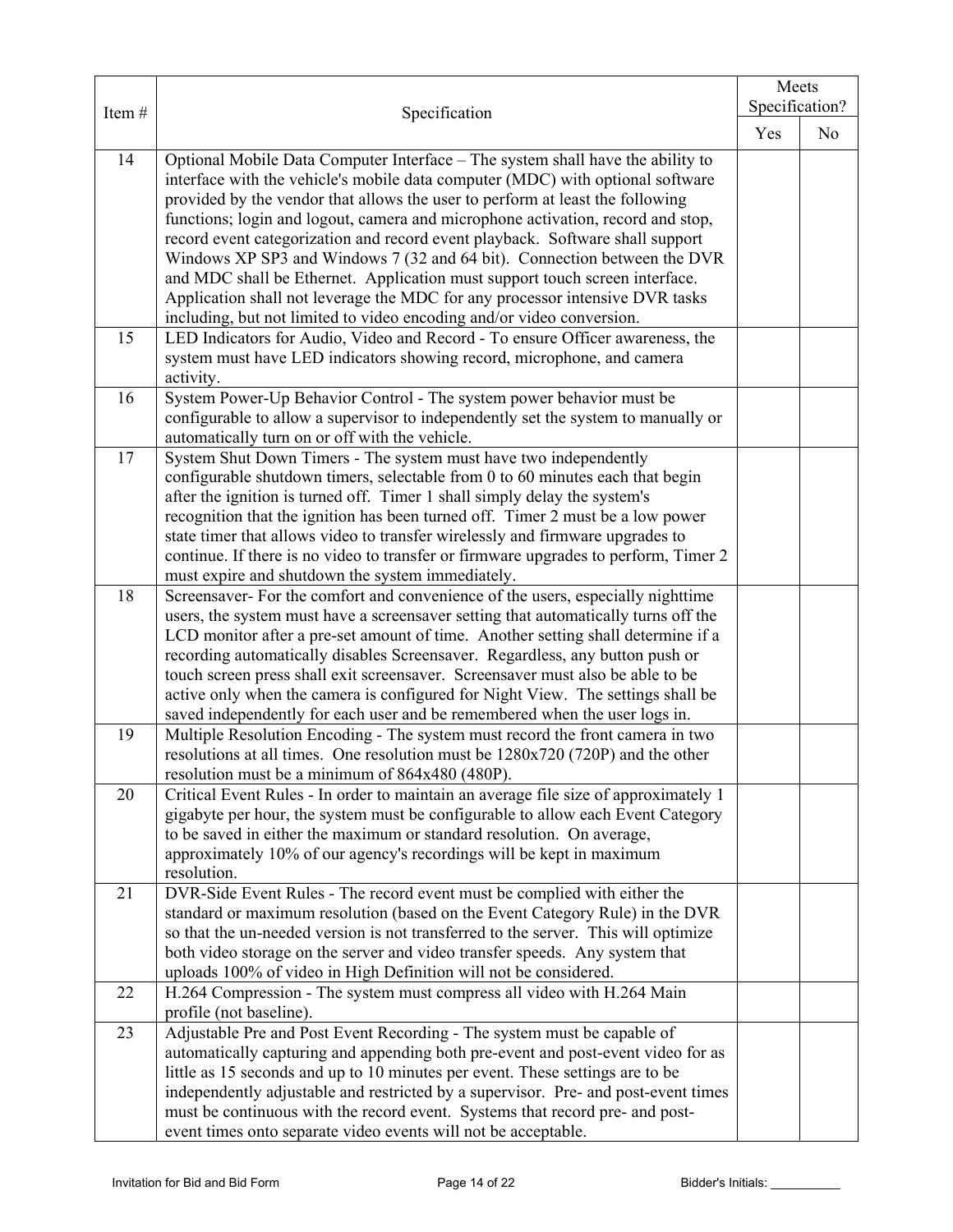|       |                                                                                                                                                                   | Meets |                |  |
|-------|-------------------------------------------------------------------------------------------------------------------------------------------------------------------|-------|----------------|--|
| Item# | Specification                                                                                                                                                     |       | Specification? |  |
|       |                                                                                                                                                                   | Yes   | N <sub>0</sub> |  |
| 14    | Optional Mobile Data Computer Interface - The system shall have the ability to                                                                                    |       |                |  |
|       | interface with the vehicle's mobile data computer (MDC) with optional software                                                                                    |       |                |  |
|       | provided by the vendor that allows the user to perform at least the following                                                                                     |       |                |  |
|       | functions; login and logout, camera and microphone activation, record and stop,                                                                                   |       |                |  |
|       | record event categorization and record event playback. Software shall support                                                                                     |       |                |  |
|       | Windows XP SP3 and Windows 7 (32 and 64 bit). Connection between the DVR                                                                                          |       |                |  |
|       | and MDC shall be Ethernet. Application must support touch screen interface.                                                                                       |       |                |  |
|       | Application shall not leverage the MDC for any processor intensive DVR tasks                                                                                      |       |                |  |
|       | including, but not limited to video encoding and/or video conversion.                                                                                             |       |                |  |
| 15    | LED Indicators for Audio, Video and Record - To ensure Officer awareness, the                                                                                     |       |                |  |
|       | system must have LED indicators showing record, microphone, and camera                                                                                            |       |                |  |
| 16    | activity.<br>System Power-Up Behavior Control - The system power behavior must be                                                                                 |       |                |  |
|       | configurable to allow a supervisor to independently set the system to manually or                                                                                 |       |                |  |
|       | automatically turn on or off with the vehicle.                                                                                                                    |       |                |  |
| 17    | System Shut Down Timers - The system must have two independently                                                                                                  |       |                |  |
|       | configurable shutdown timers, selectable from 0 to 60 minutes each that begin                                                                                     |       |                |  |
|       | after the ignition is turned off. Timer 1 shall simply delay the system's                                                                                         |       |                |  |
|       | recognition that the ignition has been turned off. Timer 2 must be a low power                                                                                    |       |                |  |
|       | state timer that allows video to transfer wirelessly and firmware upgrades to                                                                                     |       |                |  |
|       | continue. If there is no video to transfer or firmware upgrades to perform, Timer 2                                                                               |       |                |  |
|       | must expire and shutdown the system immediately.                                                                                                                  |       |                |  |
| 18    | Screensaver- For the comfort and convenience of the users, especially nighttime                                                                                   |       |                |  |
|       | users, the system must have a screensaver setting that automatically turns off the                                                                                |       |                |  |
|       | LCD monitor after a pre-set amount of time. Another setting shall determine if a                                                                                  |       |                |  |
|       | recording automatically disables Screensaver. Regardless, any button push or                                                                                      |       |                |  |
|       | touch screen press shall exit screensaver. Screensaver must also be able to be<br>active only when the camera is configured for Night View. The settings shall be |       |                |  |
|       | saved independently for each user and be remembered when the user logs in.                                                                                        |       |                |  |
| 19    | Multiple Resolution Encoding - The system must record the front camera in two                                                                                     |       |                |  |
|       | resolutions at all times. One resolution must be 1280x720 (720P) and the other                                                                                    |       |                |  |
|       | resolution must be a minimum of 864x480 (480P).                                                                                                                   |       |                |  |
| 20    | Critical Event Rules - In order to maintain an average file size of approximately 1                                                                               |       |                |  |
|       | gigabyte per hour, the system must be configurable to allow each Event Category                                                                                   |       |                |  |
|       | to be saved in either the maximum or standard resolution. On average,                                                                                             |       |                |  |
|       | approximately 10% of our agency's recordings will be kept in maximum                                                                                              |       |                |  |
|       | resolution.                                                                                                                                                       |       |                |  |
| 21    | DVR-Side Event Rules - The record event must be complied with either the                                                                                          |       |                |  |
|       | standard or maximum resolution (based on the Event Category Rule) in the DVR                                                                                      |       |                |  |
|       | so that the un-needed version is not transferred to the server. This will optimize                                                                                |       |                |  |
|       | both video storage on the server and video transfer speeds. Any system that<br>uploads 100% of video in High Definition will not be considered.                   |       |                |  |
| 22    | H.264 Compression - The system must compress all video with H.264 Main                                                                                            |       |                |  |
|       | profile (not baseline).                                                                                                                                           |       |                |  |
| 23    | Adjustable Pre and Post Event Recording - The system must be capable of                                                                                           |       |                |  |
|       | automatically capturing and appending both pre-event and post-event video for as                                                                                  |       |                |  |
|       | little as 15 seconds and up to 10 minutes per event. These settings are to be                                                                                     |       |                |  |
|       | independently adjustable and restricted by a supervisor. Pre- and post-event times                                                                                |       |                |  |
|       | must be continuous with the record event. Systems that record pre- and post-                                                                                      |       |                |  |
|       | event times onto separate video events will not be acceptable.                                                                                                    |       |                |  |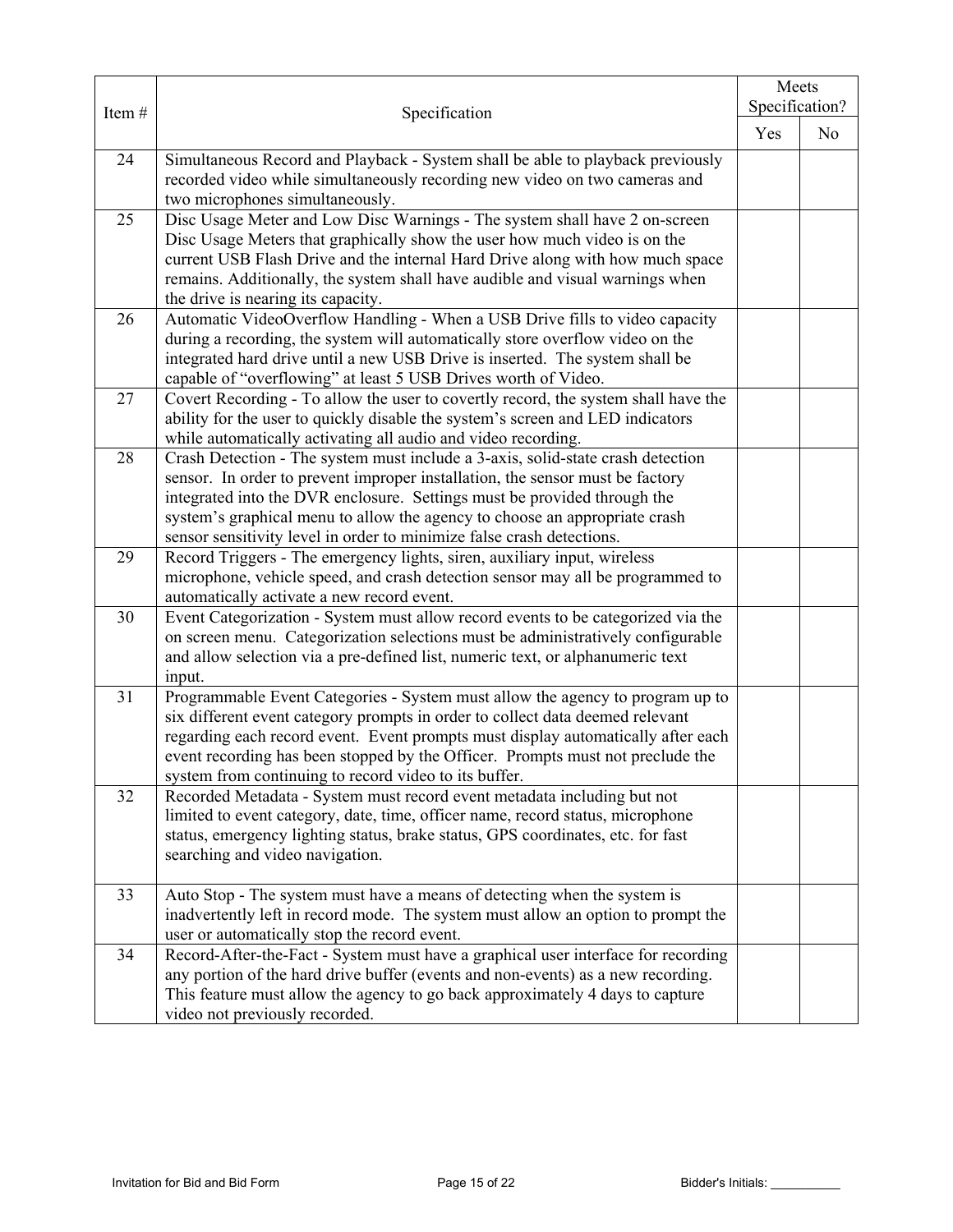|       | Specification                                                                                                                                                                                                                                                                                                                                                                                       |  | Meets<br>Specification? |  |
|-------|-----------------------------------------------------------------------------------------------------------------------------------------------------------------------------------------------------------------------------------------------------------------------------------------------------------------------------------------------------------------------------------------------------|--|-------------------------|--|
| Item# |                                                                                                                                                                                                                                                                                                                                                                                                     |  | N <sub>o</sub>          |  |
| 24    | Simultaneous Record and Playback - System shall be able to playback previously<br>recorded video while simultaneously recording new video on two cameras and<br>two microphones simultaneously.                                                                                                                                                                                                     |  |                         |  |
| 25    | Disc Usage Meter and Low Disc Warnings - The system shall have 2 on-screen<br>Disc Usage Meters that graphically show the user how much video is on the<br>current USB Flash Drive and the internal Hard Drive along with how much space<br>remains. Additionally, the system shall have audible and visual warnings when<br>the drive is nearing its capacity.                                     |  |                         |  |
| 26    | Automatic VideoOverflow Handling - When a USB Drive fills to video capacity<br>during a recording, the system will automatically store overflow video on the<br>integrated hard drive until a new USB Drive is inserted. The system shall be<br>capable of "overflowing" at least 5 USB Drives worth of Video.                                                                                      |  |                         |  |
| 27    | Covert Recording - To allow the user to covertly record, the system shall have the<br>ability for the user to quickly disable the system's screen and LED indicators<br>while automatically activating all audio and video recording.                                                                                                                                                               |  |                         |  |
| 28    | Crash Detection - The system must include a 3-axis, solid-state crash detection<br>sensor. In order to prevent improper installation, the sensor must be factory<br>integrated into the DVR enclosure. Settings must be provided through the<br>system's graphical menu to allow the agency to choose an appropriate crash<br>sensor sensitivity level in order to minimize false crash detections. |  |                         |  |
| 29    | Record Triggers - The emergency lights, siren, auxiliary input, wireless<br>microphone, vehicle speed, and crash detection sensor may all be programmed to<br>automatically activate a new record event.                                                                                                                                                                                            |  |                         |  |
| 30    | Event Categorization - System must allow record events to be categorized via the<br>on screen menu. Categorization selections must be administratively configurable<br>and allow selection via a pre-defined list, numeric text, or alphanumeric text<br>input.                                                                                                                                     |  |                         |  |
| 31    | Programmable Event Categories - System must allow the agency to program up to<br>six different event category prompts in order to collect data deemed relevant<br>regarding each record event. Event prompts must display automatically after each<br>event recording has been stopped by the Officer. Prompts must not preclude the<br>system from continuing to record video to its buffer.       |  |                         |  |
| 32    | Recorded Metadata - System must record event metadata including but not<br>limited to event category, date, time, officer name, record status, microphone<br>status, emergency lighting status, brake status, GPS coordinates, etc. for fast<br>searching and video navigation.                                                                                                                     |  |                         |  |
| 33    | Auto Stop - The system must have a means of detecting when the system is<br>inadvertently left in record mode. The system must allow an option to prompt the<br>user or automatically stop the record event.                                                                                                                                                                                        |  |                         |  |
| 34    | Record-After-the-Fact - System must have a graphical user interface for recording<br>any portion of the hard drive buffer (events and non-events) as a new recording.<br>This feature must allow the agency to go back approximately 4 days to capture<br>video not previously recorded.                                                                                                            |  |                         |  |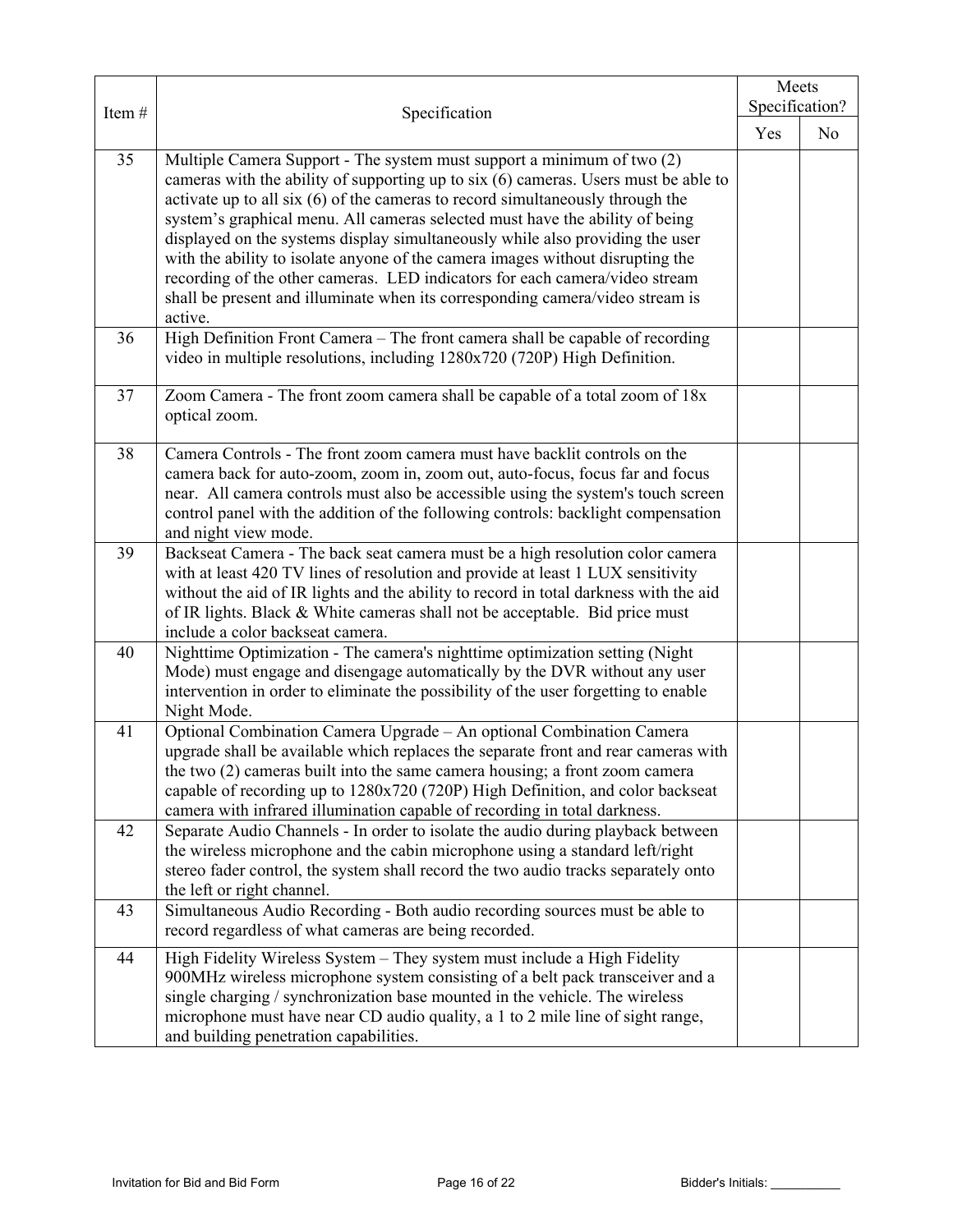|       |                                                                                                                                                                                                                                                                                                                                                                                                                                                                                                                                                                                                                                                                               |     | Meets          |  |
|-------|-------------------------------------------------------------------------------------------------------------------------------------------------------------------------------------------------------------------------------------------------------------------------------------------------------------------------------------------------------------------------------------------------------------------------------------------------------------------------------------------------------------------------------------------------------------------------------------------------------------------------------------------------------------------------------|-----|----------------|--|
| Item# | Specification                                                                                                                                                                                                                                                                                                                                                                                                                                                                                                                                                                                                                                                                 |     | Specification? |  |
|       |                                                                                                                                                                                                                                                                                                                                                                                                                                                                                                                                                                                                                                                                               | Yes | N <sub>o</sub> |  |
| 35    | Multiple Camera Support - The system must support a minimum of two (2)<br>cameras with the ability of supporting up to six (6) cameras. Users must be able to<br>activate up to all six (6) of the cameras to record simultaneously through the<br>system's graphical menu. All cameras selected must have the ability of being<br>displayed on the systems display simultaneously while also providing the user<br>with the ability to isolate anyone of the camera images without disrupting the<br>recording of the other cameras. LED indicators for each camera/video stream<br>shall be present and illuminate when its corresponding camera/video stream is<br>active. |     |                |  |
| 36    | High Definition Front Camera - The front camera shall be capable of recording<br>video in multiple resolutions, including 1280x720 (720P) High Definition.                                                                                                                                                                                                                                                                                                                                                                                                                                                                                                                    |     |                |  |
| 37    | Zoom Camera - The front zoom camera shall be capable of a total zoom of 18x<br>optical zoom.                                                                                                                                                                                                                                                                                                                                                                                                                                                                                                                                                                                  |     |                |  |
| 38    | Camera Controls - The front zoom camera must have backlit controls on the<br>camera back for auto-zoom, zoom in, zoom out, auto-focus, focus far and focus<br>near. All camera controls must also be accessible using the system's touch screen<br>control panel with the addition of the following controls: backlight compensation<br>and night view mode.                                                                                                                                                                                                                                                                                                                  |     |                |  |
| 39    | Backseat Camera - The back seat camera must be a high resolution color camera<br>with at least 420 TV lines of resolution and provide at least 1 LUX sensitivity<br>without the aid of IR lights and the ability to record in total darkness with the aid<br>of IR lights. Black & White cameras shall not be acceptable. Bid price must<br>include a color backseat camera.                                                                                                                                                                                                                                                                                                  |     |                |  |
| 40    | Nighttime Optimization - The camera's nighttime optimization setting (Night<br>Mode) must engage and disengage automatically by the DVR without any user<br>intervention in order to eliminate the possibility of the user forgetting to enable<br>Night Mode.                                                                                                                                                                                                                                                                                                                                                                                                                |     |                |  |
| 41    | Optional Combination Camera Upgrade - An optional Combination Camera<br>upgrade shall be available which replaces the separate front and rear cameras with<br>the two (2) cameras built into the same camera housing; a front zoom camera<br>capable of recording up to 1280x720 (720P) High Definition, and color backseat<br>camera with infrared illumination capable of recording in total darkness.                                                                                                                                                                                                                                                                      |     |                |  |
| 42    | Separate Audio Channels - In order to isolate the audio during playback between<br>the wireless microphone and the cabin microphone using a standard left/right<br>stereo fader control, the system shall record the two audio tracks separately onto<br>the left or right channel.                                                                                                                                                                                                                                                                                                                                                                                           |     |                |  |
| 43    | Simultaneous Audio Recording - Both audio recording sources must be able to<br>record regardless of what cameras are being recorded.                                                                                                                                                                                                                                                                                                                                                                                                                                                                                                                                          |     |                |  |
| 44    | High Fidelity Wireless System - They system must include a High Fidelity<br>900MHz wireless microphone system consisting of a belt pack transceiver and a<br>single charging / synchronization base mounted in the vehicle. The wireless<br>microphone must have near CD audio quality, a 1 to 2 mile line of sight range,<br>and building penetration capabilities.                                                                                                                                                                                                                                                                                                          |     |                |  |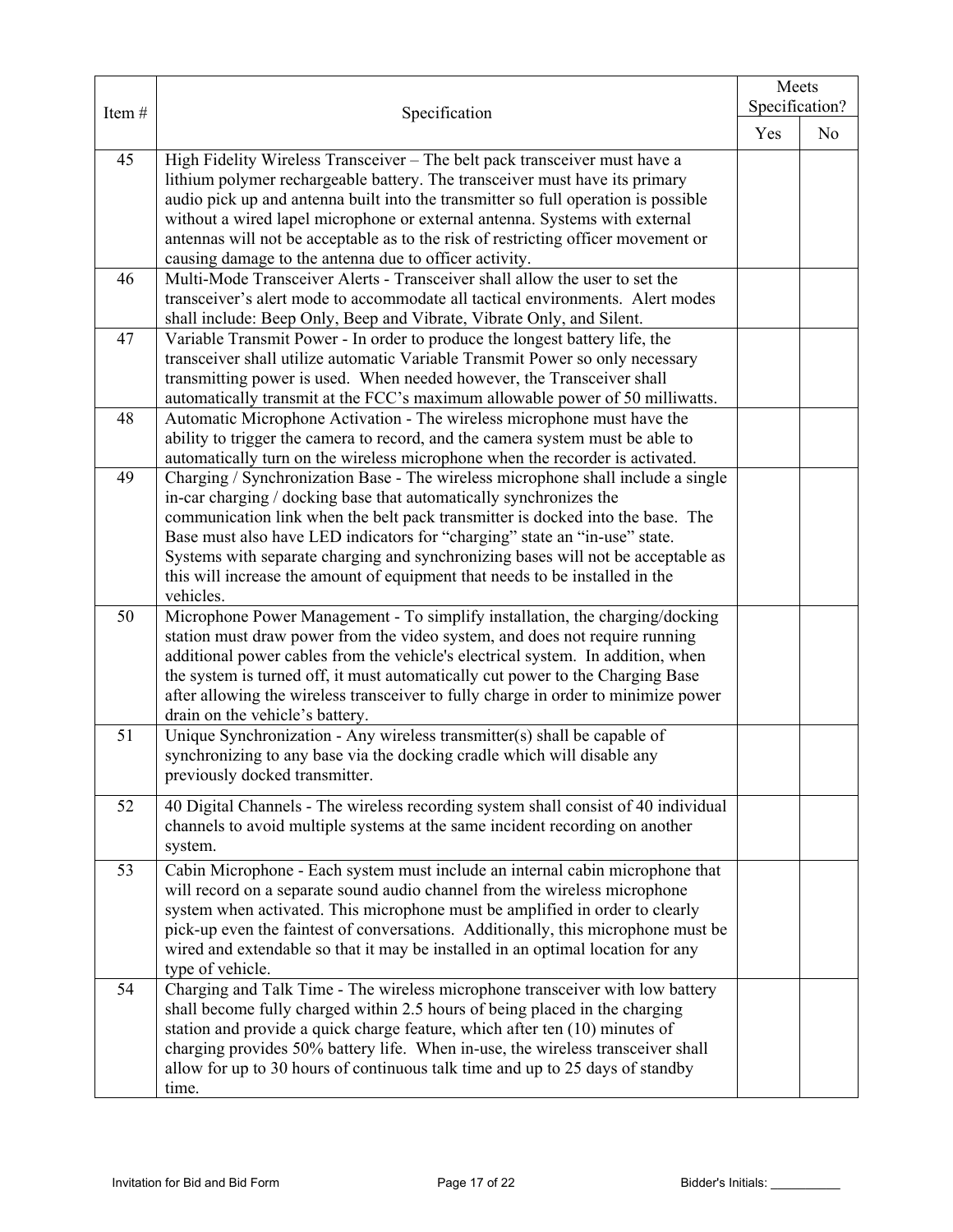|       |                                                                                                                                                                   |     | Meets<br>Specification? |  |
|-------|-------------------------------------------------------------------------------------------------------------------------------------------------------------------|-----|-------------------------|--|
| Item# | Specification                                                                                                                                                     |     |                         |  |
|       |                                                                                                                                                                   | Yes | N <sub>0</sub>          |  |
| 45    | High Fidelity Wireless Transceiver - The belt pack transceiver must have a                                                                                        |     |                         |  |
|       | lithium polymer rechargeable battery. The transceiver must have its primary                                                                                       |     |                         |  |
|       | audio pick up and antenna built into the transmitter so full operation is possible                                                                                |     |                         |  |
|       | without a wired lapel microphone or external antenna. Systems with external                                                                                       |     |                         |  |
|       | antennas will not be acceptable as to the risk of restricting officer movement or                                                                                 |     |                         |  |
| 46    | causing damage to the antenna due to officer activity.<br>Multi-Mode Transceiver Alerts - Transceiver shall allow the user to set the                             |     |                         |  |
|       | transceiver's alert mode to accommodate all tactical environments. Alert modes                                                                                    |     |                         |  |
|       | shall include: Beep Only, Beep and Vibrate, Vibrate Only, and Silent.                                                                                             |     |                         |  |
| 47    | Variable Transmit Power - In order to produce the longest battery life, the                                                                                       |     |                         |  |
|       | transceiver shall utilize automatic Variable Transmit Power so only necessary                                                                                     |     |                         |  |
|       | transmitting power is used. When needed however, the Transceiver shall                                                                                            |     |                         |  |
| 48    | automatically transmit at the FCC's maximum allowable power of 50 milliwatts.<br>Automatic Microphone Activation - The wireless microphone must have the          |     |                         |  |
|       | ability to trigger the camera to record, and the camera system must be able to                                                                                    |     |                         |  |
|       | automatically turn on the wireless microphone when the recorder is activated.                                                                                     |     |                         |  |
| 49    | Charging / Synchronization Base - The wireless microphone shall include a single                                                                                  |     |                         |  |
|       | in-car charging / docking base that automatically synchronizes the                                                                                                |     |                         |  |
|       | communication link when the belt pack transmitter is docked into the base. The                                                                                    |     |                         |  |
|       | Base must also have LED indicators for "charging" state an "in-use" state.                                                                                        |     |                         |  |
|       | Systems with separate charging and synchronizing bases will not be acceptable as                                                                                  |     |                         |  |
|       | this will increase the amount of equipment that needs to be installed in the                                                                                      |     |                         |  |
|       | vehicles.                                                                                                                                                         |     |                         |  |
| 50    | Microphone Power Management - To simplify installation, the charging/docking                                                                                      |     |                         |  |
|       | station must draw power from the video system, and does not require running                                                                                       |     |                         |  |
|       | additional power cables from the vehicle's electrical system. In addition, when<br>the system is turned off, it must automatically cut power to the Charging Base |     |                         |  |
|       | after allowing the wireless transceiver to fully charge in order to minimize power                                                                                |     |                         |  |
|       | drain on the vehicle's battery.                                                                                                                                   |     |                         |  |
| 51    | Unique Synchronization - Any wireless transmitter(s) shall be capable of                                                                                          |     |                         |  |
|       | synchronizing to any base via the docking cradle which will disable any                                                                                           |     |                         |  |
|       | previously docked transmitter.                                                                                                                                    |     |                         |  |
| 52    | 40 Digital Channels - The wireless recording system shall consist of 40 individual                                                                                |     |                         |  |
|       | channels to avoid multiple systems at the same incident recording on another                                                                                      |     |                         |  |
|       | system.                                                                                                                                                           |     |                         |  |
| 53    | Cabin Microphone - Each system must include an internal cabin microphone that                                                                                     |     |                         |  |
|       | will record on a separate sound audio channel from the wireless microphone                                                                                        |     |                         |  |
|       | system when activated. This microphone must be amplified in order to clearly                                                                                      |     |                         |  |
|       | pick-up even the faintest of conversations. Additionally, this microphone must be                                                                                 |     |                         |  |
|       | wired and extendable so that it may be installed in an optimal location for any                                                                                   |     |                         |  |
|       | type of vehicle.                                                                                                                                                  |     |                         |  |
| 54    | Charging and Talk Time - The wireless microphone transceiver with low battery                                                                                     |     |                         |  |
|       | shall become fully charged within 2.5 hours of being placed in the charging                                                                                       |     |                         |  |
|       | station and provide a quick charge feature, which after ten (10) minutes of                                                                                       |     |                         |  |
|       | charging provides 50% battery life. When in-use, the wireless transceiver shall<br>allow for up to 30 hours of continuous talk time and up to 25 days of standby  |     |                         |  |
|       | time.                                                                                                                                                             |     |                         |  |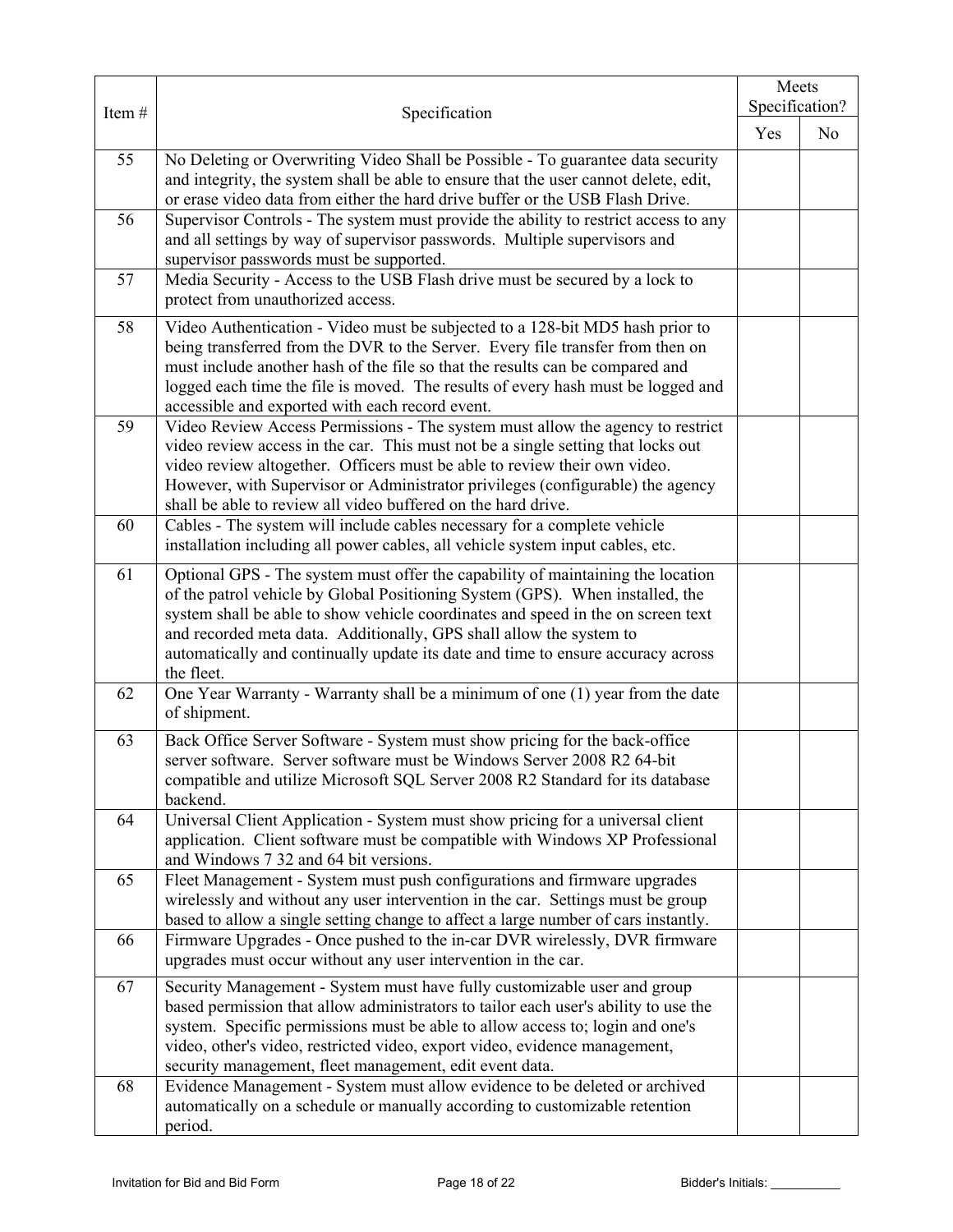|       |                                                                                                                                                                                                                                                                                                                                                                                                                               |     | Meets          |
|-------|-------------------------------------------------------------------------------------------------------------------------------------------------------------------------------------------------------------------------------------------------------------------------------------------------------------------------------------------------------------------------------------------------------------------------------|-----|----------------|
| Item# | Specification                                                                                                                                                                                                                                                                                                                                                                                                                 |     | Specification? |
|       |                                                                                                                                                                                                                                                                                                                                                                                                                               | Yes | N <sub>o</sub> |
| 55    | No Deleting or Overwriting Video Shall be Possible - To guarantee data security<br>and integrity, the system shall be able to ensure that the user cannot delete, edit,                                                                                                                                                                                                                                                       |     |                |
|       | or erase video data from either the hard drive buffer or the USB Flash Drive.                                                                                                                                                                                                                                                                                                                                                 |     |                |
| 56    | Supervisor Controls - The system must provide the ability to restrict access to any<br>and all settings by way of supervisor passwords. Multiple supervisors and<br>supervisor passwords must be supported.                                                                                                                                                                                                                   |     |                |
| 57    | Media Security - Access to the USB Flash drive must be secured by a lock to<br>protect from unauthorized access.                                                                                                                                                                                                                                                                                                              |     |                |
| 58    | Video Authentication - Video must be subjected to a 128-bit MD5 hash prior to<br>being transferred from the DVR to the Server. Every file transfer from then on<br>must include another hash of the file so that the results can be compared and<br>logged each time the file is moved. The results of every hash must be logged and<br>accessible and exported with each record event.                                       |     |                |
| 59    | Video Review Access Permissions - The system must allow the agency to restrict<br>video review access in the car. This must not be a single setting that locks out<br>video review altogether. Officers must be able to review their own video.<br>However, with Supervisor or Administrator privileges (configurable) the agency<br>shall be able to review all video buffered on the hard drive.                            |     |                |
| 60    | Cables - The system will include cables necessary for a complete vehicle<br>installation including all power cables, all vehicle system input cables, etc.                                                                                                                                                                                                                                                                    |     |                |
| 61    | Optional GPS - The system must offer the capability of maintaining the location<br>of the patrol vehicle by Global Positioning System (GPS). When installed, the<br>system shall be able to show vehicle coordinates and speed in the on screen text<br>and recorded meta data. Additionally, GPS shall allow the system to<br>automatically and continually update its date and time to ensure accuracy across<br>the fleet. |     |                |
| 62    | One Year Warranty - Warranty shall be a minimum of one (1) year from the date<br>of shipment.                                                                                                                                                                                                                                                                                                                                 |     |                |
| 63    | Back Office Server Software - System must show pricing for the back-office<br>server software. Server software must be Windows Server 2008 R2 64-bit<br>compatible and utilize Microsoft SQL Server 2008 R2 Standard for its database<br>backend.                                                                                                                                                                             |     |                |
| 64    | Universal Client Application - System must show pricing for a universal client<br>application. Client software must be compatible with Windows XP Professional<br>and Windows 7 32 and 64 bit versions.                                                                                                                                                                                                                       |     |                |
| 65    | Fleet Management - System must push configurations and firmware upgrades<br>wirelessly and without any user intervention in the car. Settings must be group<br>based to allow a single setting change to affect a large number of cars instantly.                                                                                                                                                                             |     |                |
| 66    | Firmware Upgrades - Once pushed to the in-car DVR wirelessly, DVR firmware<br>upgrades must occur without any user intervention in the car.                                                                                                                                                                                                                                                                                   |     |                |
| 67    | Security Management - System must have fully customizable user and group<br>based permission that allow administrators to tailor each user's ability to use the<br>system. Specific permissions must be able to allow access to; login and one's<br>video, other's video, restricted video, export video, evidence management,<br>security management, fleet management, edit event data.                                     |     |                |
| 68    | Evidence Management - System must allow evidence to be deleted or archived<br>automatically on a schedule or manually according to customizable retention<br>period.                                                                                                                                                                                                                                                          |     |                |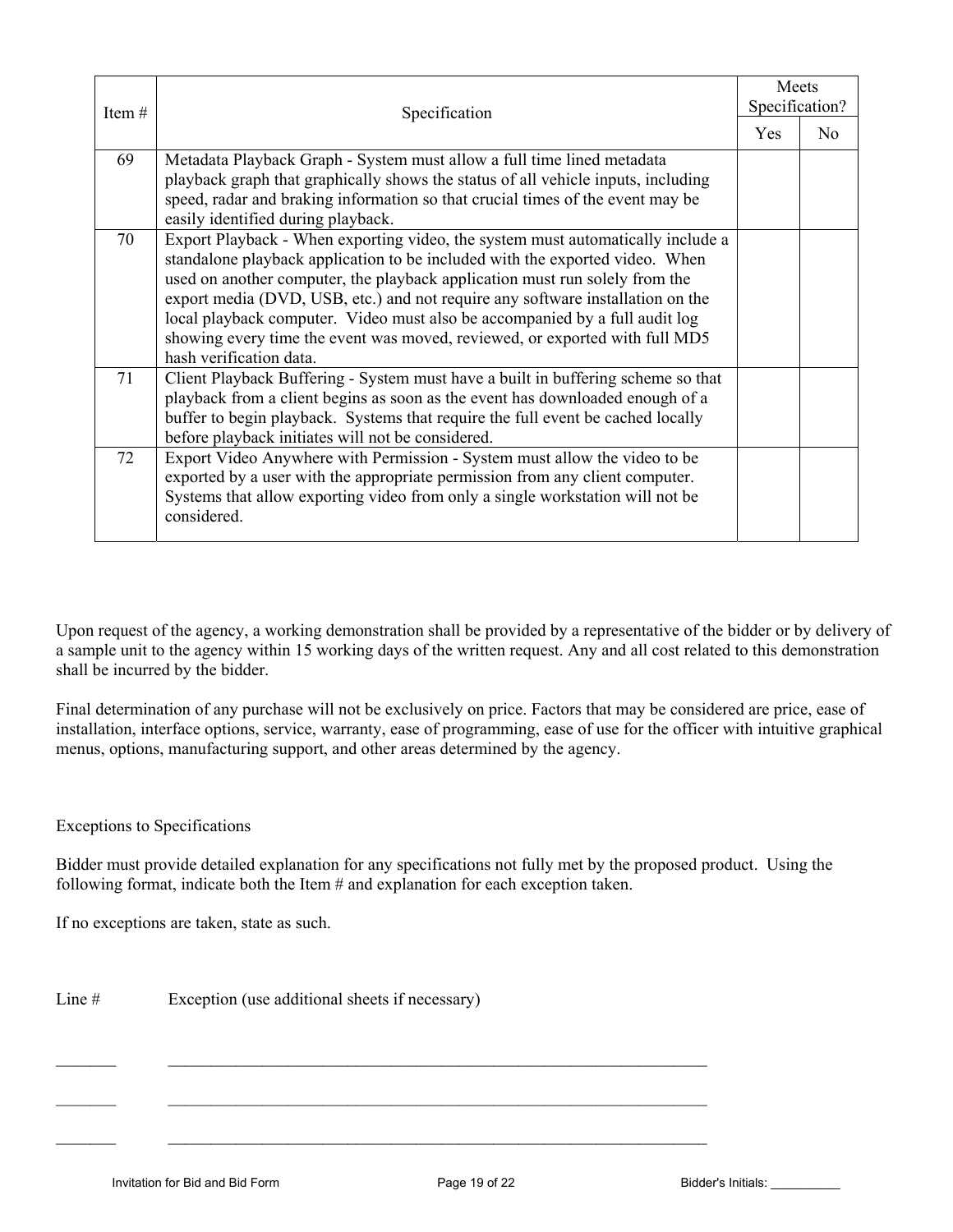| Item $#$ | Specification                                                                                                                                                                                                                                                                                                                                                                                                                                                                                                             |     | Meets<br>Specification? |  |
|----------|---------------------------------------------------------------------------------------------------------------------------------------------------------------------------------------------------------------------------------------------------------------------------------------------------------------------------------------------------------------------------------------------------------------------------------------------------------------------------------------------------------------------------|-----|-------------------------|--|
|          |                                                                                                                                                                                                                                                                                                                                                                                                                                                                                                                           | Yes | N <sub>0</sub>          |  |
| 69       | Metadata Playback Graph - System must allow a full time lined metadata<br>playback graph that graphically shows the status of all vehicle inputs, including<br>speed, radar and braking information so that crucial times of the event may be<br>easily identified during playback.                                                                                                                                                                                                                                       |     |                         |  |
| 70       | Export Playback - When exporting video, the system must automatically include a<br>standalone playback application to be included with the exported video. When<br>used on another computer, the playback application must run solely from the<br>export media (DVD, USB, etc.) and not require any software installation on the<br>local playback computer. Video must also be accompanied by a full audit log<br>showing every time the event was moved, reviewed, or exported with full MD5<br>hash verification data. |     |                         |  |
| 71       | Client Playback Buffering - System must have a built in buffering scheme so that<br>playback from a client begins as soon as the event has downloaded enough of a<br>buffer to begin playback. Systems that require the full event be cached locally<br>before playback initiates will not be considered.                                                                                                                                                                                                                 |     |                         |  |
| 72       | Export Video Anywhere with Permission - System must allow the video to be<br>exported by a user with the appropriate permission from any client computer.<br>Systems that allow exporting video from only a single workstation will not be<br>considered.                                                                                                                                                                                                                                                                 |     |                         |  |

Upon request of the agency, a working demonstration shall be provided by a representative of the bidder or by delivery of a sample unit to the agency within 15 working days of the written request. Any and all cost related to this demonstration shall be incurred by the bidder.

Final determination of any purchase will not be exclusively on price. Factors that may be considered are price, ease of installation, interface options, service, warranty, ease of programming, ease of use for the officer with intuitive graphical menus, options, manufacturing support, and other areas determined by the agency.

Exceptions to Specifications

Bidder must provide detailed explanation for any specifications not fully met by the proposed product. Using the following format, indicate both the Item # and explanation for each exception taken.

 $\mathcal{L}_\text{max} = \mathcal{L}_\text{max} = \mathcal{L}_\text{max} = \mathcal{L}_\text{max} = \mathcal{L}_\text{max} = \mathcal{L}_\text{max} = \mathcal{L}_\text{max} = \mathcal{L}_\text{max} = \mathcal{L}_\text{max} = \mathcal{L}_\text{max} = \mathcal{L}_\text{max} = \mathcal{L}_\text{max} = \mathcal{L}_\text{max} = \mathcal{L}_\text{max} = \mathcal{L}_\text{max} = \mathcal{L}_\text{max} = \mathcal{L}_\text{max} = \mathcal{L}_\text{max} = \mathcal{$ 

 $\mathcal{L}_\text{max} = \mathcal{L}_\text{max} = \mathcal{L}_\text{max} = \mathcal{L}_\text{max} = \mathcal{L}_\text{max} = \mathcal{L}_\text{max} = \mathcal{L}_\text{max} = \mathcal{L}_\text{max} = \mathcal{L}_\text{max} = \mathcal{L}_\text{max} = \mathcal{L}_\text{max} = \mathcal{L}_\text{max} = \mathcal{L}_\text{max} = \mathcal{L}_\text{max} = \mathcal{L}_\text{max} = \mathcal{L}_\text{max} = \mathcal{L}_\text{max} = \mathcal{L}_\text{max} = \mathcal{$ 

If no exceptions are taken, state as such.

Line # Exception (use additional sheets if necessary)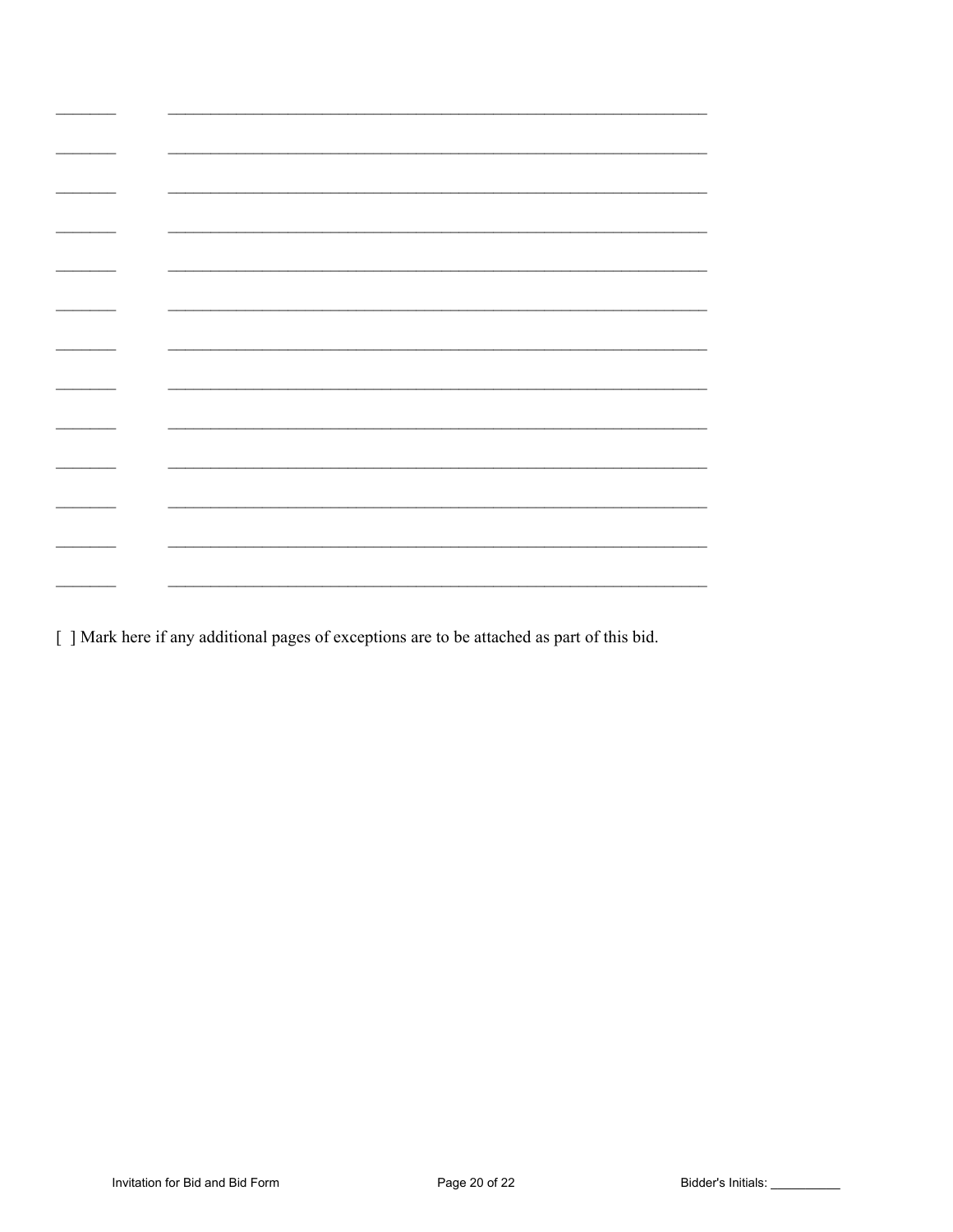[ ] Mark here if any additional pages of exceptions are to be attached as part of this bid.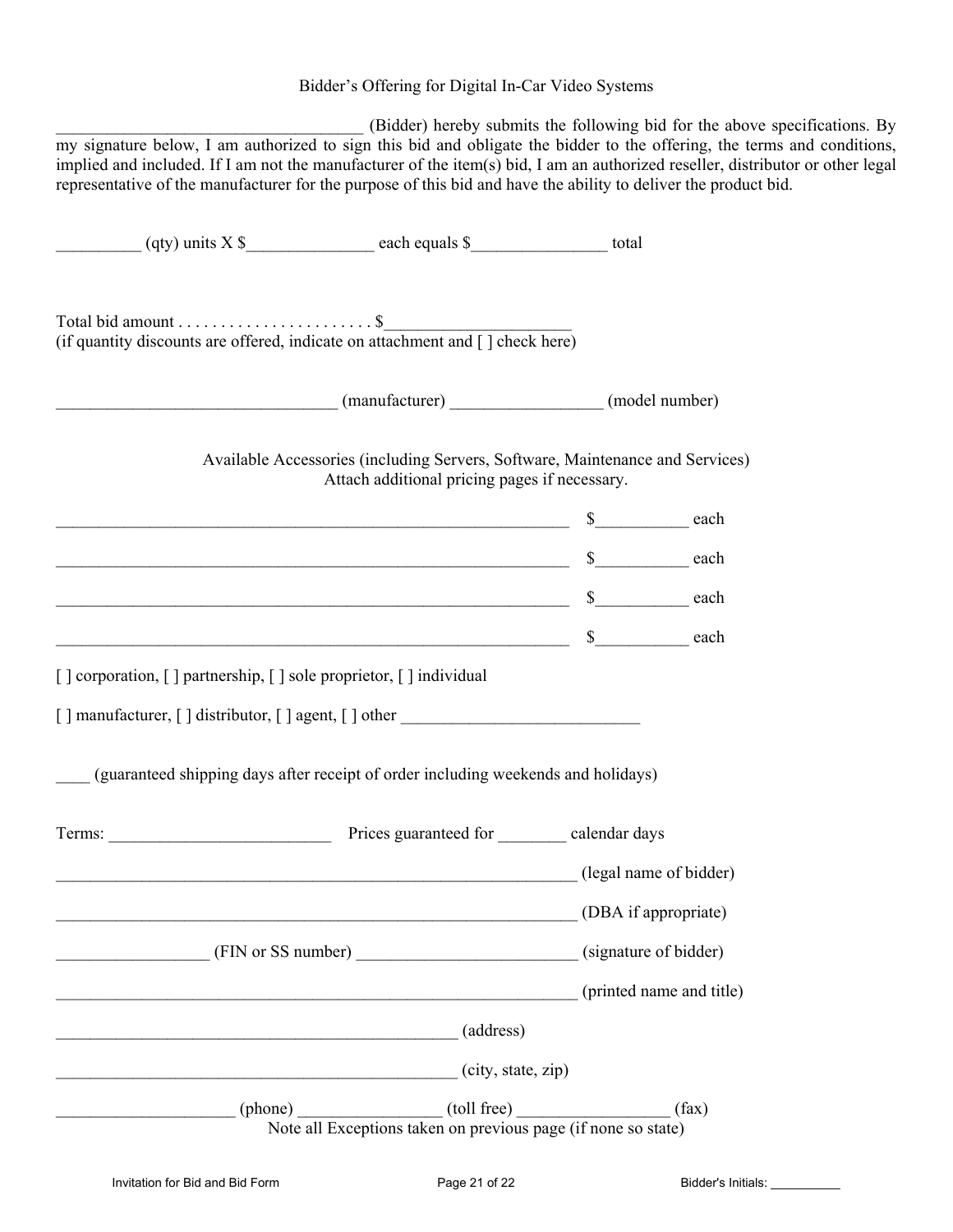## Bidder's Offering for Digital In-Car Video Systems

\_\_\_\_\_\_\_\_\_\_\_\_\_\_\_\_\_\_\_\_\_\_\_\_\_\_\_\_\_\_\_\_\_\_\_\_ (Bidder) hereby submits the following bid for the above specifications. By my signature below, I am authorized to sign this bid and obligate the bidder to the offering, the terms and conditions, implied and included. If I am not the manufacturer of the item(s) bid, I am an authorized reseller, distributor or other legal representative of the manufacturer for the purpose of this bid and have the ability to deliver the product bid.

|                                                                                   | Attach additional pricing pages if necessary.                                                        | Available Accessories (including Servers, Software, Maintenance and Services) |
|-----------------------------------------------------------------------------------|------------------------------------------------------------------------------------------------------|-------------------------------------------------------------------------------|
|                                                                                   | $\sim$ 8 each                                                                                        |                                                                               |
| $\sim$ 8 each                                                                     |                                                                                                      |                                                                               |
|                                                                                   | $\sim$ 8 each each extra section of $\sim$ 8 each each each extra section of $\sim$                  |                                                                               |
|                                                                                   |                                                                                                      |                                                                               |
| [] corporation, [] partnership, [] sole proprietor, [] individual                 |                                                                                                      |                                                                               |
| [] manufacturer, [] distributor, [] agent, [] other ____________________________  |                                                                                                      |                                                                               |
| (guaranteed shipping days after receipt of order including weekends and holidays) |                                                                                                      |                                                                               |
|                                                                                   |                                                                                                      |                                                                               |
|                                                                                   | (legal name of bidder)                                                                               |                                                                               |
|                                                                                   |                                                                                                      | (DBA if appropriate)                                                          |
|                                                                                   | (FIN or SS number)                                                                                   | (signature of bidder)                                                         |
|                                                                                   |                                                                                                      | (printed name and title)                                                      |
|                                                                                   | (address)                                                                                            |                                                                               |
|                                                                                   | (city, state, zip)                                                                                   |                                                                               |
|                                                                                   | (phone) (toll free) (toll free) (f)<br>Note all Exceptions taken on previous page (if none so state) | (fax)                                                                         |